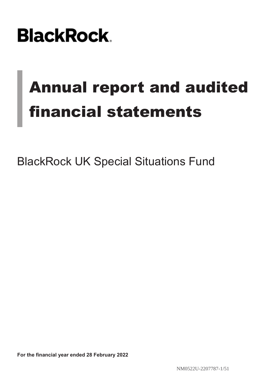# **BlackRock**

# Annual report and audited financial statements

BlackRock UK Special Situations Fund

**For the financial year ended 28 February 2022**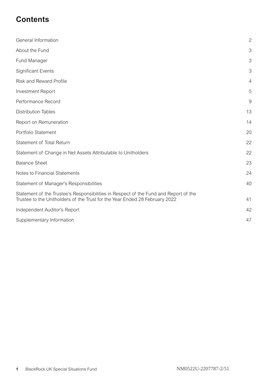### **Contents**

| General Information                                                                                                                                                 | $\overline{2}$ |
|---------------------------------------------------------------------------------------------------------------------------------------------------------------------|----------------|
| About the Fund                                                                                                                                                      | 3              |
| Fund Manager                                                                                                                                                        | 3              |
| <b>Significant Events</b>                                                                                                                                           | 3              |
| Risk and Reward Profile                                                                                                                                             | $\overline{4}$ |
| <b>Investment Report</b>                                                                                                                                            | 5              |
| Performance Record                                                                                                                                                  | 9              |
| <b>Distribution Tables</b>                                                                                                                                          | 13             |
| Report on Remuneration                                                                                                                                              | 14             |
| Portfolio Statement                                                                                                                                                 | 20             |
| Statement of Total Return                                                                                                                                           | 22             |
| Statement of Change in Net Assets Attributable to Unitholders                                                                                                       | 22             |
| <b>Balance Sheet</b>                                                                                                                                                | 23             |
| Notes to Financial Statements                                                                                                                                       | 24             |
| Statement of Manager's Responsibilities                                                                                                                             | 40             |
| Statement of the Trustee's Responsibilities in Respect of the Fund and Report of the<br>Trustee to the Unitholders of the Trust for the Year Ended 28 February 2022 | 41             |
| Independent Auditor's Report                                                                                                                                        | 42             |
| Supplementary Information                                                                                                                                           | 47             |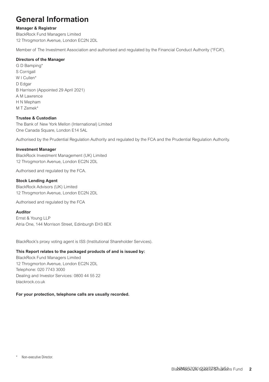### <span id="page-2-0"></span>**General Information**

#### **Manager & Registrar**

BlackRock Fund Managers Limited 12 Throgmorton Avenue, London EC2N 2DL

Member of The Investment Association and authorised and regulated by the Financial Conduct Authority ("FCA").

#### **Directors of the Manager**

G D Bamping\* S Corrigall W I Cullen<sup>\*</sup> D Edgar B Harrison (Appointed 29 April 2021) A M Lawrence H N Mepham M T Zemek\*

#### **Trustee & Custodian**

The Bank of New York Mellon (International) Limited One Canada Square, London E14 5AL

Authorised by the Prudential Regulation Authority and regulated by the FCA and the Prudential Regulation Authority.

#### **Investment Manager**

BlackRock Investment Management (UK) Limited 12 Throgmorton Avenue, London EC2N 2DL

Authorised and regulated by the FCA.

#### **Stock Lending Agent**

BlackRock Advisors (UK) Limited 12 Throgmorton Avenue, London EC2N 2DL

Authorised and regulated by the FCA

#### **Auditor**

Ernst & Young LLP Atria One, 144 Morrison Street, Edinburgh EH3 8EX

BlackRock's proxy voting agent is ISS (Institutional Shareholder Services).

#### **This Report relates to the packaged products of and is issued by:**

BlackRock Fund Managers Limited 12 Throgmorton Avenue, London EC2N 2DL Telephone: 020 7743 3000 Dealing and Investor Services: 0800 44 55 22 blackrock.co.uk

#### **For your protection, telephone calls are usually recorded.**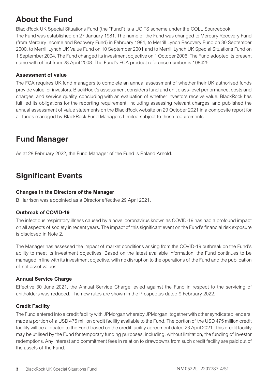### <span id="page-3-0"></span>**About the Fund**

BlackRock UK Special Situations Fund (the "Fund") is a UCITS scheme under the COLL Sourcebook. The Fund was established on 27 January 1981. The name of the Fund was changed to Mercury Recovery Fund (from Mercury Income and Recovery Fund) in February 1984, to Merrill Lynch Recovery Fund on 30 September 2000, to Merrill Lynch UK Value Fund on 10 September 2001 and to Merrill Lynch UK Special Situations Fund on 1 September 2004. The Fund changed its investment objective on 1 October 2006. The Fund adopted its present name with effect from 28 April 2008. The Fund's FCA product reference number is 108425.

### **Assessment of value**

The FCA requires UK fund managers to complete an annual assessment of whether their UK authorised funds provide value for investors. BlackRock's assessment considers fund and unit class-level performance, costs and charges, and service quality, concluding with an evaluation of whether investors receive value. BlackRock has fulfilled its obligations for the reporting requirement, including assessing relevant charges, and published the annual assessment of value statements on the BlackRock website on 29 October 2021 in a composite report for all funds managed by BlackRock Fund Managers Limited subject to these requirements.

### **Fund Manager**

As at 28 February 2022, the Fund Manager of the Fund is Roland Arnold.

### **Significant Events**

### **Changes in the Directors of the Manager**

B Harrison was appointed as a Director effective 29 April 2021.

### **Outbreak of COVID-19**

The infectious respiratory illness caused by a novel coronavirus known as COVID-19 has had a profound impact on all aspects of society in recent years. The impact of this significant event on the Fund's financial risk exposure is disclosed in Note 2.

The Manager has assessed the impact of market conditions arising from the COVID-19 outbreak on the Fund's ability to meet its investment objectives. Based on the latest available information, the Fund continues to be managed in line with its investment objective, with no disruption to the operations of the Fund and the publication of net asset values.

### **Annual Service Charge**

Effective 30 June 2021, the Annual Service Charge levied against the Fund in respect to the servicing of unitholders was reduced. The new rates are shown in the Prospectus dated 9 February 2022.

### **Credit Facility**

The Fund entered into a credit facility with JPMorgan whereby JPMorgan, together with other syndicated lenders, made a portion of a USD 475 million credit facility available to the Fund. The portion of the USD 475 million credit facility will be allocated to the Fund based on the credit facility agreement dated 23 April 2021. This credit facility may be utilised by the Fund for temporary funding purposes, including, without limitation, the funding of investor redemptions. Any interest and commitment fees in relation to drawdowns from such credit facility are paid out of the assets of the Fund.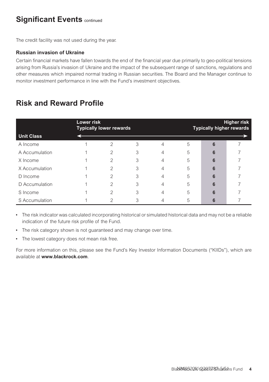### <span id="page-4-0"></span>**Significant Events continued**

The credit facility was not used during the year.

### **Russian invasion of Ukraine**

Certain financial markets have fallen towards the end of the financial year due primarily to geo-political tensions arising from Russia's invasion of Ukraine and the impact of the subsequent range of sanctions, regulations and other measures which impaired normal trading in Russian securities. The Board and the Manager continue to monitor investment performance in line with the Fund's investment objectives.

### **Risk and Reward Profile**

| <b>Unit Class</b> | Lower risk | <b>Typically lower rewards</b> |   |   |   | <b>Typically higher rewards</b> | Higher risk |
|-------------------|------------|--------------------------------|---|---|---|---------------------------------|-------------|
| A Income          |            | っ                              | 3 | 4 | 5 | 6                               |             |
| A Accumulation    |            | 2                              | 3 | 4 | 5 | 6                               |             |
| X Income          |            | 2                              | 3 | 4 | 5 | 6                               |             |
| X Accumulation    |            | 2                              | 3 | 4 | 5 | 6                               |             |
| D Income          |            | 2                              | 3 | 4 | 5 | 6                               |             |
| D Accumulation    |            | $\mathfrak{D}$                 | 3 | 4 | 5 | 6                               |             |
| S Income          |            | 2                              | 3 | 4 | 5 | 6                               |             |
| S Accumulation    |            | 2                              | 3 |   | 5 |                                 |             |

• The risk indicator was calculated incorporating historical or simulated historical data and may not be a reliable indication of the future risk profile of the Fund.

- The risk category shown is not guaranteed and may change over time.
- The lowest category does not mean risk free.

For more information on this, please see the Fund's Key Investor Information Documents ("KIIDs"), which are available at **www.blackrock.com**.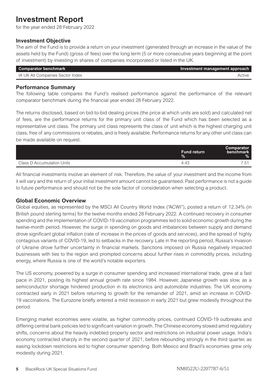### <span id="page-5-0"></span>**Investment Report**

for the year ended 28 February 2022

### **Investment Objective**

The aim of the Fund is to provide a return on your investment (generated through an increase in the value of the assets held by the Fund) (gross of fees) over the long term (5 or more consecutive years beginning at the point of investment) by investing in shares of companies incorporated or listed in the UK.

| <b>Comparator benchmark</b>      | Investment management approach |
|----------------------------------|--------------------------------|
| IA UK All Companies Sector Index | Active                         |

### **Performance Summary**

The following table compares the Fund's realised performance against the performance of the relevant comparator benchmark during the financial year ended 28 February 2022.

The returns disclosed, based on bid-to-bid dealing prices (the price at which units are sold) and calculated net of fees, are the performance returns for the primary unit class of the Fund which has been selected as a representative unit class. The primary unit class represents the class of unit which is the highest charging unit class, free of any commissions or rebates, and is freely available. Performance returns for any other unit class can be made available on request.

|                            | <b>Fund return</b><br>$\%$ | Comparator<br>benchmark<br>$\%$ |
|----------------------------|----------------------------|---------------------------------|
| Class D Accumulation Units | 4.43                       | $\overline{a}$                  |

All financial investments involve an element of risk. Therefore, the value of your investment and the income from it will vary and the return of your initial investment amount cannot be guaranteed. Past performance is not a guide to future performance and should not be the sole factor of consideration when selecting a product.

### **Global Economic Overview**

Global equities, as represented by the MSCI All Country World Index ("ACWI"), posted a return of 12.34% (in British pound sterling terms) for the twelve months ended 28 February 2022. A continued recovery in consumer spending and the implementation of COVID-19 vaccination programmes led to solid economic growth during the twelve-month period. However, the surge in spending on goods and imbalances between supply and demand drove significant global inflation (rate of increase in the prices of goods and services), and the spread of highly contagious variants of COVID-19, led to setbacks in the recovery. Late in the reporting period, Russia's invasion of Ukraine drove further uncertainty in financial markets. Sanctions imposed on Russia negatively impacted businesses with ties to the region and prompted concerns about further rises in commodity prices, including energy, where Russia is one of the world's notable exporters.

The US economy, powered by a surge in consumer spending and increased international trade, grew at a fast pace in 2021, posting its highest annual growth rate since 1984. However, Japanese growth was slow, as a semiconductor shortage hindered production in its electronics and automobile industries. The UK economy contracted early in 2021 before returning to growth for the remainder of 2021, amid an increase in COVID-19 vaccinations. The Eurozone briefly entered a mild recession in early 2021 but grew modestly throughout the period.

Emerging market economies were volatile, as higher commodity prices, continued COVID-19 outbreaks and differing central bank policies led to significant variation in growth. The Chinese economy slowed amid regulatory shifts, concerns about the heavily indebted property sector and restrictions on industrial power usage. India's economy contracted sharply in the second quarter of 2021, before rebounding strongly in the third quarter, as easing lockdown restrictions led to higher consumer spending. Both Mexico and Brazil's economies grew only modestly during 2021.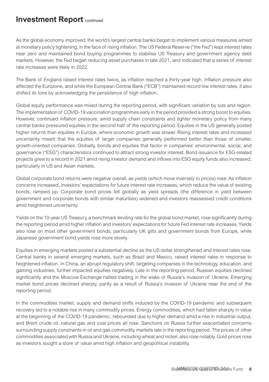### **Investment Report** continued

As the global economy improved, the world's largest central banks began to implement various measures aimed at monetary policy tightening, in the face of rising inflation. The US Federal Reserve ("the Fed") kept interest rates near zero and maintained bond buying programmes to stabilise US Treasury and government agency debt markets. However, the Fed began reducing asset purchases in late 2021, and indicated that a series of interest rate increases were likely in 2022.

The Bank of England raised interest rates twice, as inflation reached a thirty-year high. Inflation pressure also affected the Eurozone, and while the European Central Bank ("ECB") maintained record low interest rates, it also shifted its tone by acknowledging the persistence of high inflation.

Global equity performance was mixed during the reporting period, with significant variation by size and region. The implementation of COVID-19 vaccination programmes early in the period provided a strong boost to equities. However, continued inflation pressure, amid supply chain constraints and tighter monetary policy from many central banks pressured equities in the second half of the reporting period. Equities in the US generally posted higher returns than equities in Europe, where economic growth was slower. Rising interest rates and increased uncertainty meant that the equities of larger companies generally performed better than those of smaller, growth-oriented companies. Globally, bonds and equities that factor in companies' environmental, social, and governance ("ESG") characteristics continued to attract strong investor interest. Bond issuance for ESG-related projects grew to a record in 2021 amid rising investor demand and inflows into ESG equity funds also increased, particularly in US and Asian markets.

Global corporate bond returns were negative overall, as yields (which move inversely to prices) rose. As inflation concerns increased, investors' expectations for future interest rate increases, which reduce the value of existing bonds, ramped up. Corporate bond prices fell globally as yield spreads (the difference in yield between government and corporate bonds with similar maturities) widened and investors reassessed credit conditions amid heightened uncertainty.

Yields on the 10-year US Treasury, a benchmark lending rate for the global bond market, rose significantly during the reporting period amid higher inflation and investors' expectations for future Fed interest rate increases. Yields also rose on most other government bonds, particularly UK gilts and government bonds from Europe, while Japanese government bond yields rose more slowly.

Equities in emerging markets posted a substantial decline as the US dollar strengthened and interest rates rose. Central banks in several emerging markets, such as Brazil and Mexico, raised interest rates in response to heightened inflation. In China, an abrupt regulatory shift, targeting companies in the technology, education, and gaming industries, further impacted equities negatively. Late in the reporting period, Russian equities declined significantly and the Moscow Exchange halted trading in the wake of Russia's invasion of Ukraine. Emerging market bond prices declined sharply, partly as a result of Russia's invasion of Ukraine near the end of the reporting period.

In the commodities market, supply and demand shifts induced by the COVID-19 pandemic and subsequent recovery led to a notable rise in many commodity prices. Energy commodities, which had fallen sharply in value at the beginning of the COVID-19 pandemic, rebounded due to higher demand amid a rise in industrial output, and Brent crude oil, natural gas and coal prices all rose. Sanctions on Russia further exacerbated concerns surrounding supply constraints in oil and gas commodity markets late in the reporting period. The prices of other commodities associated with Russia and Ukraine, including wheat and nickel, also rose notably. Gold prices rose as investors sought a store of value amid high inflation and geopolitical instability.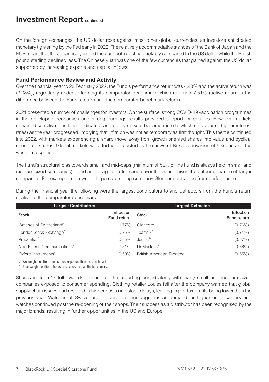### **Investment Report** continued

On the foreign exchanges, the US dollar rose against most other global currencies, as investors anticipated monetary tightening by the Fed early in 2022. The relatively accommodative stances of the Bank of Japan and the ECB meant that the Japanese yen and the euro both declined notably compared to the US dollar, while the British pound sterling declined less. The Chinese yuan was one of the few currencies that gained against the US dollar, supported by increasing exports and capital inflows.

### **Fund Performance Review and Activity**

Over the financial year to 28 February 2022, the Fund's performance return was 4.43% and the active return was (3.08%), regrettably underperforming its comparator benchmark which returned 7.51% (active return is the difference between the Fund's return and the comparator benchmark return).

2021 presented a number of challenges for investors. On the surface, strong COVID-19 vaccination programmes in the developed economies and strong earnings results provided support for equities. However, markets remained sensitive to inflation indicators and policy makers became more hawkish (in favour of higher interest rates) as the year progressed, implying that inflation was not as temporary as first thought. This theme continued into 2022, with markets experiencing a sharp move away from growth oriented shares into value and cyclical orientated shares. Global markets were further impacted by the news of Russia's invasion of Ukraine and the western response.

The Fund's structural bias towards small and mid-caps (minimum of 50% of the Fund is always held in small and medium sized companies) acted as a drag to performance over the period given the outperformance of larger companies. For example, not owning large cap mining company Glencore detracted from performance.

During the financial year the following were the largest contributors to and detractors from the Fund's return relative to the comparator benchmark:

| <b>Largest Contributors</b>              |                          | <b>Largest Detractors</b> |                          |
|------------------------------------------|--------------------------|---------------------------|--------------------------|
| <b>Stock</b>                             | Effect on<br>Fund return | <b>Stock</b>              | Effect on<br>Fund return |
| Watches of Switzerland <sup>#</sup>      | 1.77%                    | Glencore <sup>®</sup>     | $(0.76\%)$               |
| London Stock Exchange#                   | 0.75%                    | Team $17#$                | $(0.71\%)$               |
| Prudential <sup>^</sup>                  | 0.55%                    | Joules <sup>#</sup>       | $(0.67\%)$               |
| Next Fifteen Communications <sup>#</sup> | 0.51%                    | Dr Martens <sup>#</sup>   | $(0.66\%)$               |
| Oxford Instruments <sup>#</sup>          | 0.50%                    | British American Tobacco  | $(0.65\%)$               |

# Overweight position - holds more exposure than the benchmark.

 $\hat{ }$  Underweight position - holds less exposure than the benchmark.

Shares in Team17 fell towards the end of the reporting period along with many small and medium sized companies exposed to consumer spending. Clothing retailer Joules fell after the company warned that global supply chain issues had resulted in higher costs and stock delays, leading to pre-tax profits being lower than the previous year. Watches of Switzerland delivered further upgrades as demand for higher end jewellery and watches continued post the re-opening of their shops. Their success as a distributor has been recognised by the major brands, resulting in further opportunities in the US and Europe.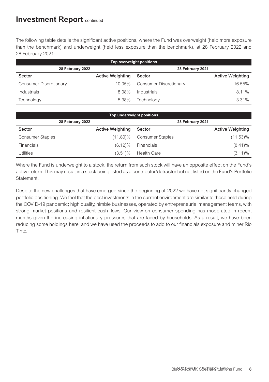### **Investment Report** continued

The following table details the significant active positions, where the Fund was overweight (held more exposure than the benchmark) and underweight (held less exposure than the benchmark), at 28 February 2022 and 28 February 2021:

| Top overweight positions |                         |                        |                         |  |  |  |  |
|--------------------------|-------------------------|------------------------|-------------------------|--|--|--|--|
| 28 February 2022         |                         | 28 February 2021       |                         |  |  |  |  |
| Sector                   | <b>Active Weighting</b> | Sector                 | <b>Active Weighting</b> |  |  |  |  |
| Consumer Discretionary   | 10.05%                  | Consumer Discretionary | 16.55%                  |  |  |  |  |
| Industrials              | 8.08%                   | Industrials            | 8.11%                   |  |  |  |  |
| Technology               | 5.38%                   | Technology             | 3.31%                   |  |  |  |  |

| Top underweight positions |                         |                         |                         |  |  |  |  |
|---------------------------|-------------------------|-------------------------|-------------------------|--|--|--|--|
| 28 February 2022          |                         |                         | 28 February 2021        |  |  |  |  |
| Sector                    | <b>Active Weighting</b> | Sector                  | <b>Active Weighting</b> |  |  |  |  |
| <b>Consumer Staples</b>   | $(11.80)\%$             | <b>Consumer Staples</b> | $(11.53)\%$             |  |  |  |  |
| <b>Financials</b>         | $(6.12)\%$              | Financials              | $(8.41)\%$              |  |  |  |  |
| Utilities                 | $(3.51)\%$              | <b>Health Care</b>      | $(3.11)\%$              |  |  |  |  |

Where the Fund is underweight to a stock, the return from such stock will have an opposite effect on the Fund's active return. This may result in a stock being listed as a contributor/detractor but not listed on the Fund's Portfolio Statement.

Despite the new challenges that have emerged since the beginning of 2022 we have not significantly changed portfolio positioning. We feel that the best investments in the current environment are similar to those held during the COVID-19 pandemic; high quality, nimble businesses, operated by entrepreneurial management teams, with strong market positions and resilient cash-flows. Our view on consumer spending has moderated in recent months given the increasing inflationary pressures that are faced by households. As a result, we have been reducing some holdings here, and we have used the proceeds to add to our financials exposure and miner Rio Tinto.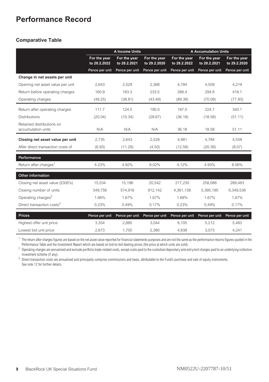### <span id="page-9-0"></span>**Performance Record**

### **Comparative Table**

|                                                 |                              | A Income Units               |                              | <b>A Accumulation Units</b>  |                              |                              |  |
|-------------------------------------------------|------------------------------|------------------------------|------------------------------|------------------------------|------------------------------|------------------------------|--|
|                                                 | For the year<br>to 28.2.2022 | For the year<br>to 28.2.2021 | For the year<br>to 29.2.2020 | For the year<br>to 28.2.2022 | For the year<br>to 28.2.2021 | For the year<br>to 29.2.2020 |  |
|                                                 | Pence per unit               | Pence per unit               | Pence per unit               | Pence per unit               | Pence per unit               | Pence per unit               |  |
| Change in net assets per unit                   |                              |                              |                              |                              |                              |                              |  |
| Opening net asset value per unit                | 2.643                        | 2,529                        | 2.368                        | 4.784                        | 4.559                        | 4.219                        |  |
| Return before operating charges                 | 160.9                        | 163.3                        | 233.5                        | 286.4                        | 294.8                        | 418.1                        |  |
| Operating charges                               | (49.25)                      | (38.81)                      | (43.49)                      | (89.38)                      | (70.09)                      | (77.93)                      |  |
| Return after operating charges                  | 111.7                        | 124.5                        | 190.0                        | 197.0                        | 224.7                        | 340.1                        |  |
| <b>Distributions</b>                            | (20.04)                      | (10.34)                      | (28.67)                      | (36.18)                      | (18.58)                      | (51.11)                      |  |
| Retained distributions on<br>accumulation units | N/A                          | N/A                          | N/A                          | 36.18                        | 18.58                        | 51.11                        |  |
| Closing net asset value per unit                | 2.735                        | 2,643                        | 2,529                        | 4.981                        | 4.784                        | 4,559                        |  |
| After direct transaction costs of               | (6.93)                       | (11.29)                      | (4.50)                       | (12.58)                      | (20.39)                      | (8.07)                       |  |
| Performance                                     |                              |                              |                              |                              |                              |                              |  |
| Return after charges <sup>1</sup>               | 4.23%                        | 4.92%                        | 8.02%                        | 4.12%                        | 4.93%                        | 8.06%                        |  |
| Other information                               |                              |                              |                              |                              |                              |                              |  |
| Closing net asset value (£000's)                | 15.034                       | 15.196                       | 20.542                       | 217.230                      | 258.088                      | 289.483                      |  |
| Closing number of units                         | 549.756                      | 574.916                      | 812.142                      | 4,361,138                    | 5.395.190                    | 6.349.538                    |  |
| Operating charges <sup>2</sup>                  | 1.66%                        | 1.67%                        | 1.67%                        | 1.66%                        | 1.67%                        | 1.67%                        |  |
| Direct transaction costs <sup>3</sup>           | 0.23%                        | 0.49%                        | 0.17%                        | 0.23%                        | 0.49%                        | 0.17%                        |  |
| <b>Prices</b>                                   | Pence per unit               | Pence per unit               | Pence per unit               | Pence per unit               | Pence per unit               | Pence per unit               |  |
| Highest offer unit price                        | 3.354                        | 2.880                        | 3.044                        | 6.105                        | 5.212                        | 5.483                        |  |
| Lowest bid unit price                           | 2.673                        | 1.705                        | 2.380                        | 4.838                        | 3.073                        | 4.241                        |  |

<sup>1</sup> The return after charges figures are based on the net asset value reported for financial statements purposes and are not the same as the performance returns figures quoted in the Performance Table and the Investment Report which are based on bid-to-bid dealing prices (the price at which units are sold).

<sup>2</sup> Operating charges are annualised and exclude portfolio trade-related costs, except costs paid to the custodian/depositary and entry/exit charges paid to an underlying collective investment scheme (if any).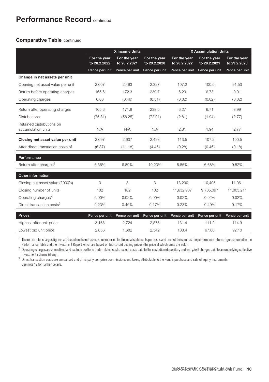### **Performance Record** continued

### **Comparative Table** continued

|                                                 | X Income Units               |                              |                              | <b>X Accumulation Units</b>  |                              |                              |  |
|-------------------------------------------------|------------------------------|------------------------------|------------------------------|------------------------------|------------------------------|------------------------------|--|
|                                                 | For the year<br>to 28.2.2022 | For the year<br>to 28.2.2021 | For the year<br>to 29.2.2020 | For the year<br>to 28.2.2022 | For the year<br>to 28.2.2021 | For the year<br>to 29.2.2020 |  |
|                                                 | Pence per unit               | Pence per unit               | Pence per unit               | Pence per unit               | Pence per unit               | Pence per unit               |  |
| Change in net assets per unit                   |                              |                              |                              |                              |                              |                              |  |
| Opening net asset value per unit                | 2.607                        | 2,493                        | 2.327                        | 107.2                        | 100.5                        | 91.53                        |  |
| Return before operating charges                 | 165.6                        | 172.3                        | 239.7                        | 6.29                         | 6.73                         | 9.01                         |  |
| Operating charges                               | 0.00                         | (0.46)                       | (0.51)                       | (0.02)                       | (0.02)                       | (0.02)                       |  |
| Return after operating charges                  | 165.6                        | 171.8                        | 238.5                        | 6.27                         | 6.71                         | 8.99                         |  |
| <b>Distributions</b>                            | (75.81)                      | (58.25)                      | (72.01)                      | (2.81)                       | (1.94)                       | (2.77)                       |  |
| Retained distributions on<br>accumulation units | N/A                          | N/A                          | N/A                          | 2.81                         | 1.94                         | 2.77                         |  |
| Closing net asset value per unit                | 2.697                        | 2.607                        | 2.493                        | 113.5                        | 107.2                        | 100.5                        |  |
| After direct transaction costs of               | (6.87)                       | (11.18)                      | (4.45)                       | (0.28)                       | (0.45)                       | (0.18)                       |  |
| Performance                                     |                              |                              |                              |                              |                              |                              |  |
| Return after charges <sup>1</sup>               | 6.35%                        | 6.89%                        | 10.23%                       | 5.85%                        | 6.68%                        | 9.82%                        |  |
| Other information                               |                              |                              |                              |                              |                              |                              |  |
| Closing net asset value (£000's)                | 3                            | 3                            | 3                            | 13.200                       | 10.405                       | 11.061                       |  |
| Closing number of units                         | 102                          | 102                          | 102                          | 11,632,907                   | 9.705.097                    | 11.003.211                   |  |
| Operating charges <sup>2</sup>                  | $0.00\%$                     | 0.02%                        | $0.00\%$                     | 0.02%                        | 0.02%                        | 0.02%                        |  |
| Direct transaction costs <sup>3</sup>           | 0.23%                        | 0.49%                        | 0.17%                        | 0.23%                        | 0.49%                        | 0.17%                        |  |
| <b>Prices</b>                                   | Pence per unit               | Pence per unit               | Pence per unit               | Pence per unit               | Pence per unit               | Pence per unit               |  |
| Highest offer unit price                        | 3.168                        | 2.724                        | 2.876                        | 131.4                        | 111.2                        | 114.9                        |  |
| Lowest bid unit price                           | 2.636                        | 1.682                        | 2.342                        | 108.4                        | 67.88                        | 92.10                        |  |

<sup>1</sup> The return after charges figures are based on the net asset value reported for financial statements purposes and are not the same as the performance returns figures quoted in the Performance Table and the Investment Report which are based on bid-to-bid dealing prices (the price at which units are sold).

<sup>2</sup> Operating charges are annualised and exclude portfolio trade-related costs, except costs paid to the custodian/depositary and entry/exit charges paid to an underlying collective investment scheme (if any).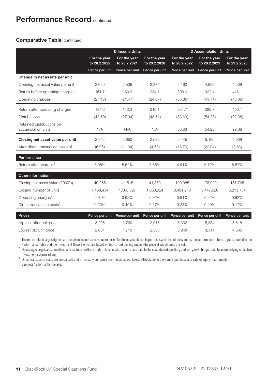### **Performance Record** continued

### **Comparative Table** continued

|                                                 |                              | <b>D</b> Income Units        |                              | <b>D</b> Accumulation Units  |                              |                              |  |
|-------------------------------------------------|------------------------------|------------------------------|------------------------------|------------------------------|------------------------------|------------------------------|--|
|                                                 | For the year<br>to 28.2.2022 | For the year<br>to 28.2.2021 | For the year<br>to 29.2.2020 | For the year<br>to 28.2.2022 | For the year<br>to 28.2.2021 | For the year<br>to 29.2.2020 |  |
|                                                 | Pence per unit               | Pence per unit               | Pence per unit               | Pence per unit               | Pence per unit               | Pence per unit               |  |
| Change in net assets per unit                   |                              |                              |                              |                              |                              |                              |  |
| Opening net asset value per unit                | 2.650                        | 2.536                        | 2.374                        | 5.190                        | 4.909                        | 4.509                        |  |
| Return before operating charges                 | 161.7                        | 163.9                        | 234.1                        | 308.0                        | 322.4                        | 446.1                        |  |
| Operating charges                               | (27.13)                      | (21.47)                      | (24.07)                      | (53.36)                      | (41.74)                      | (46.06)                      |  |
| Return after operating charges                  | 134.6                        | 142.4                        | 210.1                        | 254.7                        | 280.7                        | 400.1                        |  |
| <b>Distributions</b>                            | (42.59)                      | (27.94)                      | (48.51)                      | (83.63)                      | (54.23)                      | (92.38)                      |  |
| Retained distributions on<br>accumulation units | N/A                          | N/A                          | N/A                          | 83.63                        | 54.23                        | 92.38                        |  |
| Closing net asset value per unit                | 2.742                        | 2.650                        | 2.536                        | 5.445                        | 5.190                        | 4,909                        |  |
| After direct transaction costs of               | (6.96)                       | (11.34)                      | (4.53)                       | (13.70)                      | (22.04)                      | (8.66)                       |  |
| Performance                                     |                              |                              |                              |                              |                              |                              |  |
| Return after charges <sup>1</sup>               | 5.08%                        | 5.62%                        | 8.85%                        | 4.91%                        | 5.72%                        | 8.87%                        |  |
| Other information                               |                              |                              |                              |                              |                              |                              |  |
| Closing net asset value (£000's)                | 40.265                       | 41.515                       | 41.860                       | 190.085                      | 178,920                      | 157.765                      |  |
| Closing number of units                         | 1,468,434                    | 1.566.327                    | 1.650.924                    | 3.491.218                    | 3.447.620                    | 3,213,734                    |  |
| Operating charges <sup>2</sup>                  | 0.91%                        | 0.92%                        | 0.92%                        | 0.91%                        | 0.92%                        | 0.92%                        |  |
| Direct transaction costs <sup>3</sup>           | 0.23%                        | 0.49%                        | 0.17%                        | 0.23%                        | 0.49%                        | 0.17%                        |  |
| <b>Prices</b>                                   | Pence per unit               | Pence per unit               | Pence per unit               | Pence per unit               | Pence per unit               | Pence per unit               |  |
| Highest offer unit price                        | 3.205                        | 2.760                        | 2,915                        | 6.332                        | 5.384                        | 5.618                        |  |
| Lowest bid unit price                           | 2.681                        | 1.710                        | 2.388                        | 5.248                        | 3.311                        | 4.535                        |  |

 $1$  The return after charges figures are based on the net asset value reported for financial statements purposes and are not the same as the performance returns figures quoted in the Performance Table and the Investment Report which are based on bid-to-bid dealing prices (the price at which units are sold).

<sup>2</sup> Operating charges are annualised and exclude portfolio trade-related costs, except costs paid to the custodian/depositary and entry/exit charges paid to an underlying collective investment scheme (if any).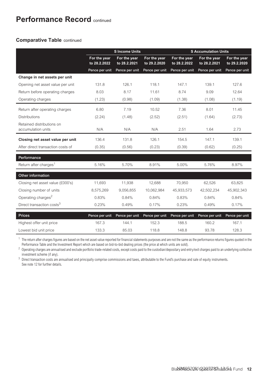### **Performance Record** continued

### **Comparative Table** continued

|                                                 |                              | <b>S</b> Income Units        |                              | <b>S Accumulation Units</b>  |                              |                              |
|-------------------------------------------------|------------------------------|------------------------------|------------------------------|------------------------------|------------------------------|------------------------------|
|                                                 | For the year<br>to 28.2.2022 | For the year<br>to 28.2.2021 | For the year<br>to 29.2.2020 | For the year<br>to 28.2.2022 | For the year<br>to 28.2.2021 | For the year<br>to 29.2.2020 |
|                                                 | Pence per unit               | Pence per unit               | Pence per unit               | Pence per unit               | Pence per unit               | Pence per unit               |
| Change in net assets per unit                   |                              |                              |                              |                              |                              |                              |
| Opening net asset value per unit                | 131.8                        | 126.1                        | 118.1                        | 147.1                        | 139.1                        | 127.6                        |
| Return before operating charges                 | 8.03                         | 8.17                         | 11.61                        | 8.74                         | 9.09                         | 12.64                        |
| Operating charges                               | (1.23)                       | (0.98)                       | (1.09)                       | (1.38)                       | (1.08)                       | (1.19)                       |
| Return after operating charges                  | 6.80                         | 7.19                         | 10.52                        | 7.36                         | 8.01                         | 11.45                        |
| <b>Distributions</b>                            | (2.24)                       | (1.48)                       | (2.52)                       | (2.51)                       | (1.64)                       | (2.73)                       |
| Retained distributions on<br>accumulation units | N/A                          | N/A                          | N/A                          | 2.51                         | 1.64                         | 2.73                         |
| Closing net asset value per unit                | 136.4                        | 131.8                        | 126.1                        | 154.5                        | 147.1                        | 139.1                        |
| After direct transaction costs of               | (0.35)                       | (0.56)                       | (0.23)                       | (0.39)                       | (0.62)                       | (0.25)                       |
| Performance                                     |                              |                              |                              |                              |                              |                              |
| Return after charges <sup>1</sup>               | 5.16%                        | 5.70%                        | 8.91%                        | 5.00%                        | 5.76%                        | 8.97%                        |
| Other information                               |                              |                              |                              |                              |                              |                              |
| Closing net asset value (£000's)                | 11.693                       | 11,938                       | 12.688                       | 70.950                       | 62.526                       | 63,825                       |
| Closing number of units                         | 8,575,269                    | 9,056,855                    | 10.062.984                   | 45,933,573                   | 42,502,234                   | 45,902,343                   |
| Operating charges <sup>2</sup>                  | 0.83%                        | 0.84%                        | 0.84%                        | 0.83%                        | 0.84%                        | 0.84%                        |
| Direct transaction costs <sup>3</sup>           | 0.23%                        | 0.49%                        | 0.17%                        | 0.23%                        | 0.49%                        | 0.17%                        |
| <b>Prices</b>                                   | Pence per unit               | Pence per unit               | Pence per unit               | Pence per unit               | Pence per unit               | Pence per unit               |
| Highest offer unit price                        | 167.3                        | 144.1                        | 152.3                        | 188.5                        | 160.2                        | 167.1                        |
| Lowest bid unit price                           | 133.3                        | 85.03                        | 118.8                        | 148.8                        | 93.78                        | 128.3                        |

<sup>1</sup> The return after charges figures are based on the net asset value reported for financial statements purposes and are not the same as the performance returns figures quoted in the Performance Table and the Investment Report which are based on bid-to-bid dealing prices (the price at which units are sold).

2 Operating charges are annualised and exclude portfolio trade-related costs, except costs paid to the custodian/depositary and entry/exit charges paid to an underlying collective investment scheme (if any).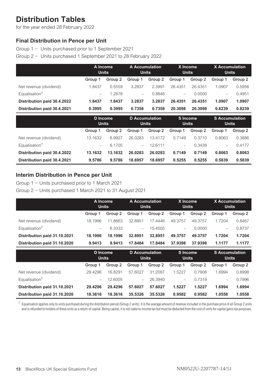### <span id="page-13-0"></span>**Distribution Tables**

for the year ended 28 February 2022

### **Final Distribution in Pence per Unit**

Group 1 − Units purchased prior to 1 September 2021

Group 2 − Units purchased 1 September 2021 to 28 February 2022

|                             |                          | A Income<br><b>Units</b> | <b>A Accumulation</b><br><b>Units</b> |         | X Income<br><b>Units</b> |         | <b>X</b> Accumulation<br><b>Units</b> |         |
|-----------------------------|--------------------------|--------------------------|---------------------------------------|---------|--------------------------|---------|---------------------------------------|---------|
|                             | Group 1                  | Group 2                  | Group 1                               | Group 2 | Group 1                  | Group 2 | Group 1                               | Group 2 |
| Net revenue (dividend)      | 1.8437                   | 0.5559                   | 3.2837                                | 2.3991  | 26.4351                  | 26.4351 | 1.0907                                | 0.5956  |
| Equalisation <sup>†</sup>   | $\overline{\phantom{0}}$ | 1.2878                   | -                                     | 0.8846  | $\overline{\phantom{0}}$ | 0.0000  | $\overline{\phantom{0}}$              | 0.4951  |
| Distribution paid 30.4.2022 | 1.8437                   | 1.8437                   | 3.2837                                | 3.2837  | 26.4351                  | 26.4351 | 1.0907                                | 1.0907  |
| Distribution paid 30.4.2021 | 0.3995                   | 0.3995                   | 0.7358                                | 0.7358  | 20.3098                  | 20.3098 | 0.8239                                | 0.8239  |
|                             | D Income<br>.            |                          | D Accumulation<br>.                   |         | S Income<br>.            |         | <b>S</b> Accumulation<br>.            |         |

|                             | <b>Units</b>             |         | <b>Units</b> |         | <b>Units</b> |         | <b>Units</b> |         |
|-----------------------------|--------------------------|---------|--------------|---------|--------------|---------|--------------|---------|
|                             | Group 1                  | Group 2 | Group 1      | Group 2 | Group 1      | Group 2 | Group 1      | Group 2 |
| Net revenue (dividend)      | 13.1632                  | 6.9927  | 26.0283      | 13.4172 | 0.7149       | 0.3710  | 0.8063       | 0.3886  |
| Equalisation <sup>†</sup>   | $\overline{\phantom{0}}$ | 6.1705  |              | 12.6111 | $\equiv$     | 0.3439  | $=$          | 0.4177  |
| Distribution paid 30.4.2022 | 13.1632                  | 13.1632 | 26.0283      | 26.0283 | 0.7149       | 0.7149  | 0.8063       | 0.8063  |
| Distribution paid 30.4.2021 | 9.5786                   | 9.5786  | 18.6957      | 18.6957 | 0.5255       | 0.5255  | 0.5839       | 0.5839  |

### **Interim Distribution in Pence per Unit**

Group 1 − Units purchased prior to 1 March 2021

Group 2 − Units purchased 1 March 2021 to 31 August 2021

|                              | A Income<br><b>Units</b> |         | A Accumulation<br><b>Units</b> |         | X Income<br><b>Units</b> |         | <b>X</b> Accumulation<br><b>Units</b> |         |
|------------------------------|--------------------------|---------|--------------------------------|---------|--------------------------|---------|---------------------------------------|---------|
|                              | Group 1                  | Group 2 | Group 1                        | Group 2 | Group 1                  | Group 2 | Group 1                               | Group 2 |
| Net revenue (dividend)       | 18.1996                  | 11.8663 | 32.8951                        | 174446  | 49.3757                  | 49.3757 | 1.7204                                | 0.8467  |
| Equalisation <sup>†</sup>    | $\overline{\phantom{0}}$ | 6.3333  | $\overline{\phantom{0}}$       | 15.4505 | $\overline{\phantom{0}}$ | 0.0000  | $\overline{\phantom{0}}$              | 0.8737  |
| Distribution paid 31.10.2021 | 18.1996                  | 18.1996 | 32.8951                        | 32.8951 | 49.3757                  | 49.3757 | 1.7204                                | 1.7204  |
| Distribution paid 31.10.2020 | 9.9413                   | 9.9413  | 17.8484                        | 17.8484 | 37.9398                  | 37.9398 | 1.1177                                | 1.1177  |

|                              | D Income<br><b>Units</b> |         | D Accumulation<br><b>Units</b> |         | S Income<br><b>Units</b> |         | <b>S</b> Accumulation<br><b>Units</b> |         |
|------------------------------|--------------------------|---------|--------------------------------|---------|--------------------------|---------|---------------------------------------|---------|
|                              | Group 1                  | Group 2 | Group 1                        | Group 2 | Group 1                  | Group 2 | Group 1                               | Group 2 |
| Net revenue (dividend)       | 29.4296                  | 16.8291 | 57.6027                        | 31.2087 | 1.5227                   | 0.7908  | 1.6994                                | 0.8998  |
| Equalisation <sup>†</sup>    | $\overline{\phantom{0}}$ | 12.6005 | $\overline{\phantom{m}}$       | 26.3940 | $\overline{\phantom{0}}$ | 0.7319  | $\qquad \qquad$                       | 0.7996  |
| Distribution paid 31.10.2021 | 29.4296                  | 29.4296 | 57.6027                        | 57.6027 | 1.5227                   | 1.5227  | 1.6994                                | 1.6994  |
| Distribution paid 31.10.2020 | 18.3616                  | 18.3616 | 35.5326                        | 35.5326 | 0.9582                   | 0.9582  | 1.0558                                | 1.0558  |

 $\dagger$  Equalisation applies only to units purchased during the distribution period (Group 2 units). It is the average amount of revenue included in the purchase price of all Group 2 units and is refunded to holders of these units as a return of capital. Being capital, it is not liable to income tax but must be deducted from the cost of units for capital gains tax purposes.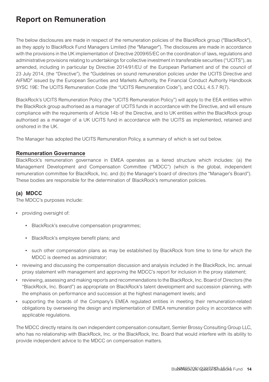### <span id="page-14-0"></span>**Report on Remuneration**

The below disclosures are made in respect of the remuneration policies of the BlackRock group ("BlackRock"), as they apply to BlackRock Fund Managers Limited (the "Manager"). The disclosures are made in accordance with the provisions in the UK implementation of Directive 2009/65/EC on the coordination of laws, regulations and administrative provisions relating to undertakings for collective investment in transferable securities ("UCITS"), as amended, including in particular by Directive 2014/91/EU of the European Parliament and of the council of 23 July 2014, (the "Directive"), the "Guidelines on sound remuneration policies under the UCITS Directive and AIFMD" issued by the European Securities and Markets Authority, the Financial Conduct Authority Handbook SYSC 19E: The UCITS Remuneration Code (the "UCITS Remuneration Code"), and COLL 4.5.7 R(7).

BlackRock's UCITS Remuneration Policy (the "UCITS Remuneration Policy") will apply to the EEA entities within the BlackRock group authorised as a manager of UCITS funds in accordance with the Directive, and will ensure compliance with the requirements of Article 14b of the Directive, and to UK entities within the BlackRock group authorised as a manager of a UK UCITS fund in accordance with the UCITS as implemented, retained and onshored in the UK.

The Manager has adopted the UCITS Remuneration Policy, a summary of which is set out below.

### **Remuneration Governance**

BlackRock's remuneration governance in EMEA operates as a tiered structure which includes: (a) the Management Development and Compensation Committee ("MDCC") (which is the global, independent remuneration committee for BlackRock, Inc. and (b) the Manager's board of directors (the "Manager's Board"). These bodies are responsible for the determination of BlackRock's remuneration policies.

### **(a) MDCC**

The MDCC's purposes include:

- providing oversight of:
	- BlackRock's executive compensation programmes;
	- BlackRock's employee benefit plans; and
	- such other compensation plans as may be established by BlackRock from time to time for which the MDCC is deemed as administrator;
- reviewing and discussing the compensation discussion and analysis included in the BlackRock, Inc. annual proxy statement with management and approving the MDCC's report for inclusion in the proxy statement;
- reviewing, assessing and making reports and recommendations to the BlackRock, Inc. Board of Directors (the "BlackRock, Inc. Board") as appropriate on BlackRock's talent development and succession planning, with the emphasis on performance and succession at the highest management levels; and
- supporting the boards of the Company's EMEA regulated entities in meeting their remuneration-related obligations by overseeing the design and implementation of EMEA remuneration policy in accordance with applicable regulations.

The MDCC directly retains its own independent compensation consultant, Semler Brossy Consulting Group LLC, who has no relationship with BlackRock, Inc. or the BlackRock, Inc. Board that would interfere with its ability to provide independent advice to the MDCC on compensation matters.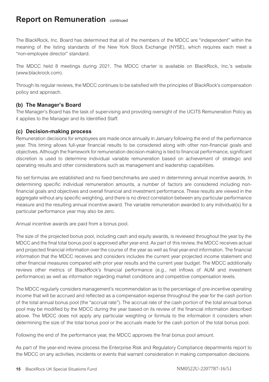The BlackRock, Inc. Board has determined that all of the members of the MDCC are "independent" within the meaning of the listing standards of the New York Stock Exchange (NYSE), which requires each meet a "non-employee director" standard.

The MDCC held 8 meetings during 2021. The MDCC charter is available on BlackRock, Inc.'s website [\(www.blackrock.com\)](http://www.blackrock.com).

Through its regular reviews, the MDCC continues to be satisfied with the principles of BlackRock's compensation policy and approach.

### **(b) The Manager's Board**

The Manager's Board has the task of supervising and providing oversight of the UCITS Remuneration Policy as it applies to the Manager and its Identified Staff.

### **(c) Decision-making process**

Remuneration decisions for employees are made once annually in January following the end of the performance year. This timing allows full-year financial results to be considered along with other non-financial goals and objectives. Although the framework for remuneration decision-making is tied to financial performance, significant discretion is used to determine individual variable remuneration based on achievement of strategic and operating results and other considerations such as management and leadership capabilities.

No set formulas are established and no fixed benchmarks are used in determining annual incentive awards. In determining specific individual remuneration amounts, a number of factors are considered including nonfinancial goals and objectives and overall financial and investment performance. These results are viewed in the aggregate without any specific weighting, and there is no direct correlation between any particular performance measure and the resulting annual incentive award. The variable remuneration awarded to any individual(s) for a particular performance year may also be zero.

Annual incentive awards are paid from a bonus pool.

The size of the projected bonus pool, including cash and equity awards, is reviewed throughout the year by the MDCC and the final total bonus pool is approved after year-end. As part of this review, the MDCC receives actual and projected financial information over the course of the year as well as final year-end information. The financial information that the MDCC receives and considers includes the current year projected income statement and other financial measures compared with prior year results and the current year budget. The MDCC additionally reviews other metrics of BlackRock's financial performance (e.g., net inflows of AUM and investment performance) as well as information regarding market conditions and competitive compensation levels.

The MDCC regularly considers management's recommendation as to the percentage of pre-incentive operating income that will be accrued and reflected as a compensation expense throughout the year for the cash portion of the total annual bonus pool (the "accrual rate"). The accrual rate of the cash portion of the total annual bonus pool may be modified by the MDCC during the year based on its review of the financial information described above. The MDCC does not apply any particular weighting or formula to the information it considers when determining the size of the total bonus pool or the accruals made for the cash portion of the total bonus pool.

Following the end of the performance year, the MDCC approves the final bonus pool amount.

As part of the year-end review process the Enterprise Risk and Regulatory Compliance departments report to the MDCC on any activities, incidents or events that warrant consideration in making compensation decisions.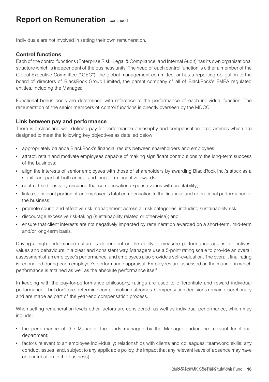Individuals are not involved in setting their own remuneration.

### **Control functions**

Each of the control functions (Enterprise Risk, Legal & Compliance, and Internal Audit) has its own organisational structure which is independent of the business units. The head of each control function is either a member of the Global Executive Committee ("GEC"), the global management committee, or has a reporting obligation to the board of directors of BlackRock Group Limited, the parent company of all of BlackRock's EMEA regulated entities, including the Manager.

Functional bonus pools are determined with reference to the performance of each individual function. The remuneration of the senior members of control functions is directly overseen by the MDCC.

### **Link between pay and performance**

There is a clear and well defined pay-for-performance philosophy and compensation programmes which are designed to meet the following key objectives as detailed below:

- appropriately balance BlackRock's financial results between shareholders and employees;
- attract, retain and motivate employees capable of making significant contributions to the long-term success of the business;
- align the interests of senior employees with those of shareholders by awarding BlackRock Inc.'s stock as a significant part of both annual and long-term incentive awards;
- control fixed costs by ensuring that compensation expense varies with profitability;
- link a significant portion of an employee's total compensation to the financial and operational performance of the business;
- promote sound and effective risk management across all risk categories, including sustainability risk;
- discourage excessive risk-taking (sustainability related or otherwise); and
- ensure that client interests are not negatively impacted by remuneration awarded on a short-term, mid-term and/or long-term basis.

Driving a high-performance culture is dependent on the ability to measure performance against objectives, values and behaviours in a clear and consistent way. Managers use a 5-point rating scale to provide an overall assessment of an employee's performance, and employees also provide a self-evaluation. The overall, final rating is reconciled during each employee's performance appraisal. Employees are assessed on the manner in which performance is attained as well as the absolute performance itself.

In keeping with the pay-for-performance philosophy, ratings are used to differentiate and reward individual performance – but don't pre-determine compensation outcomes. Compensation decisions remain discretionary and are made as part of the year-end compensation process.

When setting remuneration levels other factors are considered, as well as individual performance, which may include:

- the performance of the Manager, the funds managed by the Manager and/or the relevant functional department;
- factors relevant to an employee individually; relationships with clients and colleagues; teamwork; skills; any conduct issues; and, subject to any applicable policy, the impact that any relevant leave of absence may have on contribution to the business);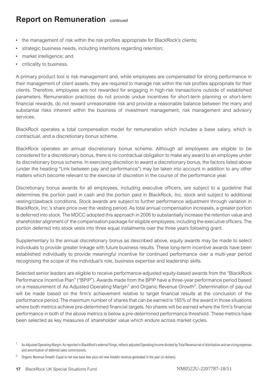- the management of risk within the risk profiles appropriate for BlackRock's clients;
- strategic business needs, including intentions regarding retention;
- market intelligence; and
- criticality to business.

A primary product tool is risk management and, while employees are compensated for strong performance in their management of client assets, they are required to manage risk within the risk profiles appropriate for their clients. Therefore, employees are not rewarded for engaging in high-risk transactions outside of established parameters. Remuneration practices do not provide undue incentives for short-term planning or short-term financial rewards, do not reward unreasonable risk and provide a reasonable balance between the many and substantial risks inherent within the business of investment management, risk management and advisory services.

BlackRock operates a total compensation model for remuneration which includes a base salary, which is contractual, and a discretionary bonus scheme.

BlackRock operates an annual discretionary bonus scheme. Although all employees are eligible to be considered for a discretionary bonus, there is no contractual obligation to make any award to an employee under its discretionary bonus scheme. In exercising discretion to award a discretionary bonus, the factors listed above (under the heading "Link between pay and performance") may be taken into account in addition to any other matters which become relevant to the exercise of discretion in the course of the performance year.

Discretionary bonus awards for all employees, including executive officers, are subject to a guideline that determines the portion paid in cash and the portion paid in BlackRock, Inc. stock and subject to additional vesting/clawback conditions. Stock awards are subject to further performance adjustment through variation in BlackRock, Inc.'s share price over the vesting period. As total annual compensation increases, a greater portion is deferred into stock. The MDCC adopted this approach in 2006 to substantially increase the retention value and shareholder alignment of the compensation package for eligible employees, including the executive officers. The portion deferred into stock vests into three equal instalments over the three years following grant.

Supplementary to the annual discretionary bonus as described above, equity awards may be made to select individuals to provide greater linkage with future business results. These long-term incentive awards have been established individually to provide meaningful incentive for continued performance over a multi-year period recognising the scope of the individual's role, business expertise and leadership skills.

Selected senior leaders are eligible to receive performance-adjusted equity-based awards from the "BlackRock Performance Incentive Plan" ("BPIP"). Awards made from the BPIP have a three-year performance period based on a measurement of As Adjusted Operating Margin<sup>1</sup> and Organic Revenue Growth<sup>2</sup>. Determination of pay-out will be made based on the firm's achievement relative to target financial results at the conclusion of the performance period. The maximum number of shares that can be earned is 165% of the award in those situations where both metrics achieve pre-determined financial targets. No shares will be earned where the firm's financial performance in both of the above metrics is below a pre-determined performance threshold. These metrics have been selected as key measures of shareholder value which endure across market cycles.

<sup>1</sup> As Adjusted Operating Margin: As reported in BlackRock's external filings, reflects adjusted Operating Income divided by Total Revenue net of distribution and servicing expenses and amortisation of deferred sales commissions.

<sup>2</sup> Organic Revenue Growth: Equal to net new base fees plus net new Aladdin revenue generated in the year (in dollars).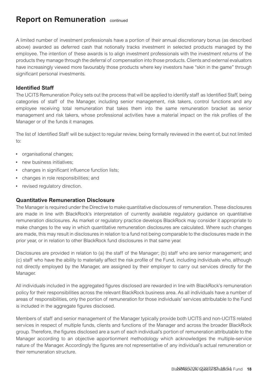A limited number of investment professionals have a portion of their annual discretionary bonus (as described above) awarded as deferred cash that notionally tracks investment in selected products managed by the employee. The intention of these awards is to align investment professionals with the investment returns of the products they manage through the deferral of compensation into those products. Clients and external evaluators have increasingly viewed more favourably those products where key investors have "skin in the game" through significant personal investments.

### **Identified Staff**

The UCITS Remuneration Policy sets out the process that will be applied to identify staff as Identified Staff, being categories of staff of the Manager, including senior management, risk takers, control functions and any employee receiving total remuneration that takes them into the same remuneration bracket as senior management and risk takers, whose professional activities have a material impact on the risk profiles of the Manager or of the funds it manages.

The list of Identified Staff will be subject to regular review, being formally reviewed in the event of, but not limited to:

- organisational changes;
- new business initiatives:
- changes in significant influence function lists;
- changes in role responsibilities; and
- revised regulatory direction.

### **Quantitative Remuneration Disclosure**

The Manager is required under the Directive to make quantitative disclosures of remuneration. These disclosures are made in line with BlackRock's interpretation of currently available regulatory guidance on quantitative remuneration disclosures. As market or regulatory practice develops BlackRock may consider it appropriate to make changes to the way in which quantitative remuneration disclosures are calculated. Where such changes are made, this may result in disclosures in relation to a fund not being comparable to the disclosures made in the prior year, or in relation to other BlackRock fund disclosures in that same year.

Disclosures are provided in relation to (a) the staff of the Manager; (b) staff who are senior management; and (c) staff who have the ability to materially affect the risk profile of the Fund, including individuals who, although not directly employed by the Manager, are assigned by their employer to carry out services directly for the Manager.

All individuals included in the aggregated figures disclosed are rewarded in line with BlackRock's remuneration policy for their responsibilities across the relevant BlackRock business area. As all individuals have a number of areas of responsibilities, only the portion of remuneration for those individuals' services attributable to the Fund is included in the aggregate figures disclosed.

Members of staff and senior management of the Manager typically provide both UCITS and non-UCITS related services in respect of multiple funds, clients and functions of the Manager and across the broader BlackRock group. Therefore, the figures disclosed are a sum of each individual's portion of remuneration attributable to the Manager according to an objective apportionment methodology which acknowledges the multiple-service nature of the Manager. Accordingly the figures are not representative of any individual's actual remuneration or their remuneration structure.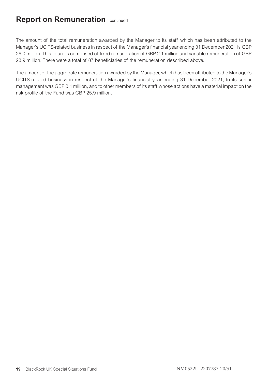The amount of the total remuneration awarded by the Manager to its staff which has been attributed to the Manager's UCITS-related business in respect of the Manager's financial year ending 31 December 2021 is GBP 26.0 million. This figure is comprised of fixed remuneration of GBP 2.1 million and variable remuneration of GBP 23.9 million. There were a total of 87 beneficiaries of the remuneration described above.

The amount of the aggregate remuneration awarded by the Manager, which has been attributed to the Manager's UCITS-related business in respect of the Manager's financial year ending 31 December 2021, to its senior management was GBP 0.1 million, and to other members of its staff whose actions have a material impact on the risk profile of the Fund was GBP 25.9 million.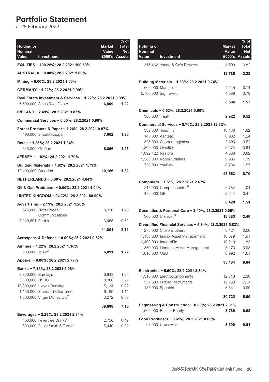### <span id="page-20-0"></span>**Portfolio Statement**

at 28 February 2022

| <b>Holding or</b><br>Nominal<br>Value<br>Investment                                        | <b>Market</b><br>Value | $%$ of<br>Total<br><b>Net</b><br>£000's Assets |
|--------------------------------------------------------------------------------------------|------------------------|------------------------------------------------|
| EQUITIES - 100.25%; 28.2.2021 100.59%                                                      |                        |                                                |
| AUSTRALIA - 0.00%; 28.2.2021 1.00%                                                         |                        |                                                |
| Mining - 0.00%; 28.2.2021 1.00%                                                            |                        |                                                |
| GERMANY - 1.22%; 28.2.2021 0.99%                                                           |                        |                                                |
| Real Estate Investment & Services - 1.22%; 28.2.2021 0.99%<br>5,500,000 Sirius Real Estate | 6,809                  | 1.22                                           |
| IRELAND - 2.49%; 28.2.2021 3.87%                                                           |                        |                                                |
| Commercial Services - 0.00%; 28.2.2021 0.96%                                               |                        |                                                |
| Forest Products & Paper - 1.26%; 28.2.2021 0.97%                                           |                        |                                                |
| 190,000 Smurfit Kappa                                                                      | 7,062                  | 1.26                                           |
| Retail - 1.23%; 28.2.2021 1.94%<br>645,000 Grafton                                         | 6,856                  | 1.23                                           |
| JERSEY - 1.82%; 28.2.2021 1.79%                                                            |                        |                                                |
| Building Materials - 1.82%; 28.2.2021 1.79%<br>12,400,000 Breedon                          | 10,156                 | 1.82                                           |
| NETHERLANDS - 0.00%; 28.2.2021 4.04%                                                       |                        |                                                |
| Oil & Gas Producers - 0.00%; 28.2.2021 4.04%                                               |                        |                                                |
| UNITED KINGDOM - 94.72%; 28.2.2021 88.90%                                                  |                        |                                                |
| Advertising - 2.11%; 28.2.2021 1.26%                                                       |                        |                                                |
| 675,000 Next Fifteen<br>Communications                                                     | 8,336                  | 1.49                                           |
| 3,149,891 Pebble                                                                           | 3,465                  | 0.62                                           |
|                                                                                            | 11,801                 | 2.11                                           |
| Aerospace & Defence - 0.00%; 28.2.2021 0.62%                                               |                        |                                                |
| Airlines - 1.22%; 28.2.2021 1.10%                                                          |                        |                                                |
| 530,000 JET2 <sup>Ø</sup>                                                                  | 6,811                  | 1.22                                           |
| Apparel - 0.00%; 28.2.2021 2.77%                                                           |                        |                                                |
| Banks - 7.15%; 28.2.2021 5.98%                                                             |                        |                                                |
| 3,850,000 Barclays<br>3,600,000 HSBC                                                       | 6,943<br>18,360        | 1.24<br>3.29                                   |
| 10,800,000 Lloyds Banking                                                                  | 5,134                  | 0.92                                           |
| 1,150,000 Standard Chartered                                                               | 6,189                  | 1.11                                           |
| 1,800,000 Virgin Money UK <sup>Ø</sup>                                                     | 3,272                  | 0.59                                           |
|                                                                                            | 39,898                 | 7.15                                           |
| Beverages - 2.28%; 28.2.2021 2.81%                                                         |                        |                                                |
| 150,000 Fevertree Drinks <sup>0</sup>                                                      | 2,756                  | 0.49                                           |
| 800,000 Fuller Smith & Turner                                                              | 5.440                  | 0.97                                           |

| <b>Holding or</b><br><b>Nominal</b><br>Value | Investment                                              | <b>Market</b><br>Value | % of<br><b>Total</b><br><b>Net</b><br>£000's Assets |
|----------------------------------------------|---------------------------------------------------------|------------------------|-----------------------------------------------------|
|                                              | 315,462 Young & Co's Brewery                            | 4,590                  | 0.82                                                |
|                                              |                                                         | 12,786                 | 2.28                                                |
|                                              | Building Materials - 1.53%; 28.2.2021 0.74%             |                        |                                                     |
|                                              | 660,000 Marshalls                                       | 4,115                  | 0.74                                                |
|                                              | 5,700,000 SigmaRoc                                      | 4,389                  | 0.79                                                |
|                                              |                                                         | 8,504                  | 1.53                                                |
|                                              | Chemicals - 0.52%; 28.2.2021 0.00%                      |                        |                                                     |
| 300,000 Treatt                               |                                                         | 2,922                  | 0.52                                                |
|                                              | Commercial Services - 8.70%; 28.2.2021 12.32%           |                        |                                                     |
|                                              | 382,500 4imprint                                        | 10,136                 | 1.82                                                |
|                                              | 145,000 Ashtead                                         | 6,902                  | 1.24                                                |
|                                              | 325,000 Clipper Logistics                               | 2,893                  | 0.52                                                |
| 1,800,000 QinetiQ                            |                                                         | 5,274                  | 0.94                                                |
| 1,092,422 Restore                            |                                                         | 4,588                  | 0.82                                                |
|                                              | 1,585,000 Robert Walters                                | 9,986                  | 1.79                                                |
| 720,000 YouGov                               |                                                         | 8,784                  | 1.57                                                |
|                                              |                                                         | 48,563                 | 8.70                                                |
|                                              | Computers - 1.51%; 28.2.2021 2.67%                      |                        |                                                     |
|                                              | 215,000 Computacenter <sup>Ø</sup>                      | 5,784                  | 1.04                                                |
| 470,000 GB                                   |                                                         | 2,644                  | 0.47                                                |
|                                              |                                                         | 8,428                  | 1.51                                                |
|                                              | Cosmetics & Personal Care - 2.40%; 28.2.2021 0.00%      |                        |                                                     |
|                                              | 360,000 Unilever <sup>Ø</sup>                           | 13,383                 | 2.40                                                |
|                                              | Diversified Financial Services - 6.84%; 28.2.2021 5.83% |                        |                                                     |
|                                              | 275,000 Close Brothers                                  | 3,121                  | 0.56                                                |
|                                              | 1,130,000 Impax Asset Management                        | 10,679                 | 1.91                                                |
|                                              | 2,400,000 IntegraFin                                    | 10,219                 | 1.83                                                |
|                                              | 350,000 Liontrust Asset Management                      | 5,173                  | 0.93                                                |
| 1,810,000 OSB                                |                                                         | 8,992                  | 1.61                                                |
|                                              |                                                         | 38,184                 | 6.84                                                |
|                                              | Electronics - 5.50%; 28.2.2021 3.34%                    |                        |                                                     |
|                                              | 1,310,000 Electrocomponents                             | 12,818                 | 2.30                                                |
|                                              | 537,500 Oxford Instruments                              | 12,363                 | 2.21                                                |
|                                              | 185,000 Spectris                                        | 5,541                  | 0.99                                                |
|                                              |                                                         | 30,722                 | 5.50                                                |
|                                              | Engineering & Construction - 0.68%; 28.2.2021 2.81%     |                        |                                                     |
|                                              | 1,600,000 Balfour Beatty                                | 3,789                  | 0.68                                                |
|                                              | Food Producers - 0.61%; 28.2.2021 0.65%                 |                        |                                                     |
|                                              | 98.000 Cranswick                                        | 3,399                  | 0.61                                                |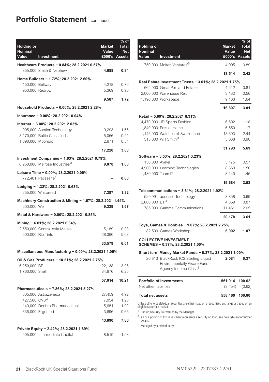### **Portfolio Statement** continued

| <b>Holding or</b><br>Nominal<br>Value | Investment                                                               | <b>Market</b><br>Value | % of<br>Total<br><b>Net</b><br>£000's Assets |
|---------------------------------------|--------------------------------------------------------------------------|------------------------|----------------------------------------------|
|                                       |                                                                          |                        |                                              |
|                                       | Healthcare Products - 0.84%; 28.2.2021 0.57%<br>355,000 Smith & Nephew   | 4,688                  | 0.84                                         |
|                                       | Home Builders - 1.72%; 28.2.2021 2.60%                                   |                        |                                              |
| 150,000 Bellway                       |                                                                          | 4,218                  | 0.76                                         |
| 950,000 Redrow                        |                                                                          | 5,369                  | 0.96                                         |
|                                       |                                                                          | 9,587                  | 1.72                                         |
|                                       | Household Products - 0.00%; 28.2.2021 2.28%                              |                        |                                              |
|                                       | Insurance - 0.00%; 28.2.2021 0.04%                                       |                        |                                              |
|                                       | Internet - 3.08%; 28.2.2021 2.03%                                        |                        |                                              |
|                                       | 995,000 Auction Technology                                               | 9.293                  | 1.66                                         |
|                                       | 3,170,000 Baltic Classifieds                                             | 5,056                  | 0.91                                         |
| 1,090,000 Moonpig                     |                                                                          | 2,871                  | 0.51                                         |
|                                       |                                                                          | 17,220                 | 3.08                                         |
|                                       | Investment Companies - 1.63%; 28.2.2021 0.79%                            |                        |                                              |
|                                       | 6,250,000 Melrose Industries <sup>Ø</sup>                                | 9,078                  | 1.63                                         |
|                                       | Leisure Time - 0.00%; 28.2.2021 0.00%<br>772,401 Patisserie <sup>1</sup> |                        | 0.00                                         |
|                                       | Lodging - 1.32%; 28.2.2021 0.63%                                         |                        |                                              |
|                                       | 255,000 Whitbread                                                        | 7,387                  | 1.32                                         |
| 600,000 Weir                          | Machinery Construction & Mining - 1.67%; 28.2.2021 1.44%                 | 9,339                  | 1.67                                         |
|                                       | Metal & Hardware - 0.00%; 28.2.2021 0.85%                                |                        |                                              |
|                                       |                                                                          |                        |                                              |
|                                       | Mining - 6.01%; 28.2.2021 6.34%<br>2,550,000 Central Asia Metals         | 5,189                  | 0.93                                         |
|                                       | 500,000 Rio Tinto                                                        | 28,390                 | 5.08                                         |
|                                       |                                                                          | 33,579                 | 6.01                                         |
|                                       | Miscellaneous Manufacturing - 0.00%; 28.2.2021 1.06%                     |                        |                                              |
|                                       | Oil & Gas Producers - 10.21%; 28.2.2021 2.75%                            |                        |                                              |
| 6,250,000 BP                          |                                                                          | 22,138                 | 3.96                                         |
| 1,760,000 Shell                       |                                                                          | 34,876                 | 6.25                                         |
|                                       |                                                                          | 57,014                 | 10.21                                        |
|                                       | Pharmaceuticals - 7.86%; 28.2.2021 5.27%                                 |                        |                                              |
|                                       | 305,000 AstraZeneca                                                      | 27,459                 | 4.92                                         |
| 427,500 CVS <sup>Ø</sup>              |                                                                          | 7,054                  | 1.26                                         |
|                                       | 140,000 Dechra Pharmaceuticals                                           | 5,681                  | 1.02                                         |
|                                       | 336,000 Ergomed                                                          | 3,696                  | 0.66                                         |
|                                       |                                                                          | 43,890                 | 7.86                                         |
|                                       | Private Equity - 2.42%; 28.2.2021 1.89%                                  |                        |                                              |
|                                       | 505,000 Intermediate Capital                                             | 8,519                  | 1.53                                         |

| Holding or<br><b>Nominal</b><br>Value | Investment                                                                                                                                                         | <b>Market</b><br>Value<br>£000's Assets | $%$ of<br><b>Total</b><br><b>Net</b> |
|---------------------------------------|--------------------------------------------------------------------------------------------------------------------------------------------------------------------|-----------------------------------------|--------------------------------------|
|                                       | 750,000 Molten Ventures <sup>0</sup>                                                                                                                               | 4,995                                   | 0.89                                 |
|                                       |                                                                                                                                                                    | 13,514                                  | 2.42                                 |
|                                       | Real Estate Investment Trusts - 3.01%; 28.2.2021 1.75%                                                                                                             |                                         |                                      |
|                                       | 665,000 Great Portland Estates                                                                                                                                     | 4,512                                   | 0.81                                 |
|                                       | 2,000,000 Warehouse Reit                                                                                                                                           | 3,132                                   | 0.56                                 |
|                                       | 1,190,000 Workspace                                                                                                                                                | 9,163                                   | 1.64                                 |
|                                       |                                                                                                                                                                    | 16,807                                  | 3.01                                 |
|                                       | Retail - 5.69%; 28.2.2021 8.31%                                                                                                                                    |                                         |                                      |
|                                       | 4,470,000 JD Sports Fashion                                                                                                                                        | 6,602                                   | 1.18                                 |
|                                       | 1,840,000 Pets at Home                                                                                                                                             | 6,550                                   | 1.17                                 |
|                                       | 1,145,000 Watches of Switzerland                                                                                                                                   | 13,603                                  | 2.44                                 |
|                                       | 315,000 WH Smith <sup>Ø</sup>                                                                                                                                      | 5,038                                   | 0.90                                 |
|                                       |                                                                                                                                                                    | 31.793                                  | 5.69                                 |
|                                       | Software - 3.53%; 28.2.2021 3.23%                                                                                                                                  |                                         |                                      |
| 130,000 Aveva                         |                                                                                                                                                                    | 3,175                                   | 0.57                                 |
|                                       | 4,900,000 Learning Technologies                                                                                                                                    | 8,369                                   | 1.50                                 |
| 1,480,000 Team17                      |                                                                                                                                                                    | 8.140                                   | 1.46                                 |
|                                       |                                                                                                                                                                    | 19,684                                  | 3.53                                 |
|                                       | Telecommunications - 3.61%; 28.2.2021 1.92%                                                                                                                        |                                         |                                      |
|                                       | 529,991 accesso Technology                                                                                                                                         | 3,858                                   | 0.69                                 |
| 2,600,000 BT <sup>Ø</sup>             |                                                                                                                                                                    | 4,859                                   | 0.87                                 |
|                                       | 785,000 Gamma Communications                                                                                                                                       | 11,461                                  | 2.05                                 |
|                                       |                                                                                                                                                                    | 20,178                                  | 3.61                                 |
|                                       | Toys, Games & Hobbies – 1.07%; 28.2.2021 2.25%                                                                                                                     |                                         |                                      |
|                                       | 82,500 Games Workshop                                                                                                                                              | 6,002                                   | 1.07                                 |
|                                       | <b>COLLECTIVE INVESTMENT</b><br>SCHEMES - 0.37%; 28.2.2021 1.00%                                                                                                   |                                         |                                      |
|                                       | Short-term Money Market Funds - 0.37%; 28.2.2021 1.00%<br>20,813 BlackRock ICS Sterling Liquid<br>Environmentally Aware Fund -<br>Agency Income Class <sup>†</sup> | 2.081                                   | 0.37                                 |
|                                       | Portfolio of investments                                                                                                                                           | 561,914                                 | 100.62                               |
| Net other liabilities                 |                                                                                                                                                                    | (3, 454)                                | (0.62)                               |
| <b>Total net assets</b>               |                                                                                                                                                                    | 558,460                                 | 100.00                               |

Unless otherwise stated, all securities are either listed on a recognised exchange or traded on an eligible securities market.

<sup>1</sup> Illiquid Security Fair Valued by the Manager.

 $^{\emptyset}$  All or a portion of this investment represents a security on loan, see note 2(b) iii) for further details.

† Managed by a related party.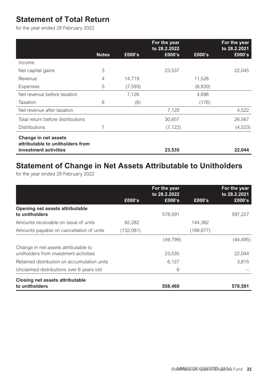### <span id="page-22-0"></span>**Statement of Total Return**

for the year ended 28 February 2022

|                                                          |              |          | For the year<br>to 28.2.2022 |         | For the year<br>to 28.2.2021 |
|----------------------------------------------------------|--------------|----------|------------------------------|---------|------------------------------|
|                                                          | <b>Notes</b> | £000's   | £000's                       | £000's  | £000's                       |
| Income                                                   |              |          |                              |         |                              |
| Net capital gains                                        | 3            |          | 23,537                       |         | 22,045                       |
| Revenue                                                  | 4            | 14.719   |                              | 11.528  |                              |
| Expenses                                                 | 5            | (7, 593) |                              | (6,830) |                              |
| Net revenue before taxation                              |              | 7,126    |                              | 4,698   |                              |
| Taxation                                                 | 6            | (6)      |                              | (176)   |                              |
| Net revenue after taxation                               |              |          | 7,120                        |         | 4,522                        |
| Total return before distributions                        |              |          | 30,657                       |         | 26,567                       |
| <b>Distributions</b>                                     | 7            |          | (7, 122)                     |         | (4, 523)                     |
| Change in net assets<br>attributable to unitholders from |              |          |                              |         |                              |
| investment activities                                    |              |          | 23,535                       |         | 22,044                       |

### **Statement of Change in Net Assets Attributable to Unitholders**

for the year ended 28 February 2022

|                                             |           | For the year<br>to 28.2.2022 |            | For the year<br>to 28.2.2021 |
|---------------------------------------------|-----------|------------------------------|------------|------------------------------|
|                                             | £000's    | £000's                       | £000's     | £000's                       |
| Opening net assets attributable             |           |                              |            |                              |
| to unitholders                              |           | 578.591                      |            | 597.227                      |
| Amounts receivable on issue of units        | 82.282    |                              | 144.382    |                              |
| Amounts payable on cancellation of units    | (132,081) |                              | (188, 877) |                              |
|                                             |           | (49, 799)                    |            | (44, 495)                    |
| Change in net assets attributable to        |           |                              |            |                              |
| unitholders from investment activities      |           | 23.535                       |            | 22.044                       |
| Retained distribution on accumulation units |           | 6,127                        |            | 3.815                        |
| Unclaimed distributions over 6 years old    |           | 6                            |            |                              |
| <b>Closing net assets attributable</b>      |           |                              |            |                              |
| to unitholders                              |           | 558,460                      |            | 578.591                      |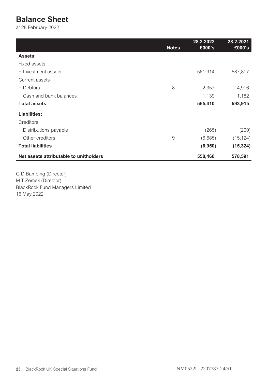### <span id="page-23-0"></span>**Balance Sheet**

at 28 February 2022

|                                        | <b>Notes</b> | 28.2.2022<br>£000's | 28.2.2021<br>£000's |
|----------------------------------------|--------------|---------------------|---------------------|
| Assets:                                |              |                     |                     |
| Fixed assets                           |              |                     |                     |
| $-$ Investment assets                  |              | 561,914             | 587,817             |
| Current assets                         |              |                     |                     |
| - Debtors                              | 8            | 2,357               | 4,916               |
| $-$ Cash and bank balances             |              | 1,139               | 1,182               |
| <b>Total assets</b>                    |              | 565,410             | 593,915             |
| Liabilities:                           |              |                     |                     |
| Creditors                              |              |                     |                     |
| - Distributions payable                |              | (265)               | (200)               |
| $-$ Other creditors                    | 9            | (6,685)             | (15, 124)           |
| <b>Total liabilities</b>               |              | (6,950)             | (15, 324)           |
| Net assets attributable to unitholders |              | 558,460             | 578,591             |
|                                        |              |                     |                     |

G D Bamping (Director) M T Zemek (Director) BlackRock Fund Managers Limited 16 May 2022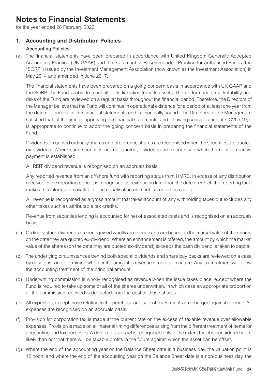### <span id="page-24-0"></span>**Notes to Financial Statements**

for the year ended 28 February 2022

### **1. Accounting and Distribution Policies**

### Accounting Policies

(a) The financial statements have been prepared in accordance with United Kingdom Generally Accepted Accounting Practice (UK GAAP) and the Statement of Recommended Practice for Authorised Funds (the "SORP") issued by the Investment Management Association (now known as the Investment Association) in May 2014 and amended in June 2017.

The financial statements have been prepared on a going concern basis in accordance with UK GAAP and the SORP. The Fund is able to meet all of its liabilities from its assets. The performance, marketability and risks of the Fund are reviewed on a regular basis throughout the financial period. Therefore, the Directors of the Manager believe that the Fund will continue in operational existence for a period of at least one year from the date of approval of the financial statements and is financially sound. The Directors of the Manager are satisfied that, at the time of approving the financial statements, and following consideration of COVID-19, it is appropriate to continue to adopt the going concern basis in preparing the financial statements of the Fund.

Dividends on quoted ordinary shares and preference shares are recognised when the securities are quoted ex-dividend. Where such securities are not quoted, dividends are recognised when the right to receive payment is established.

All REIT dividend revenue is recognised on an accruals basis.

Any reported revenue from an offshore fund with reporting status from HMRC, in excess of any distribution received in the reporting period, is recognised as revenue no later than the date on which the reporting fund makes this information available. The equalisation element is treated as capital.

All revenue is recognised as a gross amount that takes account of any withholding taxes but excludes any other taxes such as attributable tax credits.

Revenue from securities lending is accounted for net of associated costs and is recognised on an accruals basis.

- (b) Ordinary stock dividends are recognised wholly as revenue and are based on the market value of the shares on the date they are quoted ex-dividend. Where an enhancement is offered, the amount by which the market value of the shares (on the date they are quoted ex-dividend) exceeds the cash dividend is taken to capital.
- (c) The underlying circumstances behind both special dividends and share buy backs are reviewed on a case by case basis in determining whether the amount is revenue or capital in nature. Any tax treatment will follow the accounting treatment of the principal amount.
- (d) Underwriting commission is wholly recognised as revenue when the issue takes place, except where the Fund is required to take up some or all of the shares underwritten, in which case an appropriate proportion of the commission received is deducted from the cost of those shares.
- (e) All expenses, except those relating to the purchase and sale of investments are charged against revenue. All expenses are recognised on an accruals basis.
- (f) Provision for corporation tax is made at the current rate on the excess of taxable revenue over allowable expenses. Provision is made on all material timing differences arising from the different treatment of items for accounting and tax purposes. A deferred tax asset is recognised only to the extent that it is considered more likely than not that there will be taxable profits in the future against which the asset can be offset.
- (g) Where the end of the accounting year on the Balance Sheet date is a business day, the valuation point is 12 noon, and where the end of the accounting year on the Balance Sheet date is a non-business day, the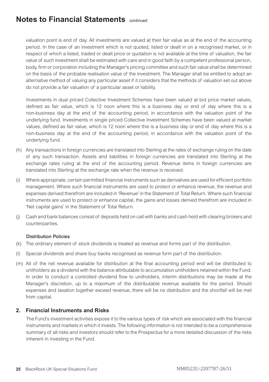valuation point is end of day. All investments are valued at their fair value as at the end of the accounting period. In the case of an investment which is not quoted, listed or dealt in on a recognised market, or in respect of which a listed, traded or dealt price or quotation is not available at the time of valuation, the fair value of such investment shall be estimated with care and in good faith by a competent professional person, body, firm or corporation including the Manager's pricing committee and such fair value shall be determined on the basis of the probable realisation value of the investment. The Manager shall be entitled to adopt an alternative method of valuing any particular asset if it considers that the methods of valuation set out above do not provide a fair valuation of a particular asset or liability.

Investments in dual priced Collective Investment Schemes have been valued at bid price market values, defined as fair value, which is 12 noon where this is a business day or end of day where this is a non-business day at the end of the accounting period, in accordance with the valuation point of the underlying fund. Investments in single priced Collective Investment Schemes have been valued at market values, defined as fair value, which is 12 noon where this is a business day or end of day where this is a non-business day at the end of the accounting period, in accordance with the valuation point of the underlying fund.

- (h) Any transactions in foreign currencies are translated into Sterling at the rates of exchange ruling on the date of any such transaction. Assets and liabilities in foreign currencies are translated into Sterling at the exchange rates ruling at the end of the accounting period. Revenue items in foreign currencies are translated into Sterling at the exchange rate when the revenue is received.
- (i) Where appropriate, certain permitted financial instruments such as derivatives are used for efficient portfolio management. Where such financial instruments are used to protect or enhance revenue, the revenue and expenses derived therefrom are included in 'Revenue' in the Statement of Total Return. Where such financial instruments are used to protect or enhance capital, the gains and losses derived therefrom are included in 'Net capital gains' in the Statement of Total Return.
- (j) Cash and bank balances consist of deposits held on call with banks and cash held with clearing brokers and counterparties.

#### Distribution Policies

- (k) The ordinary element of stock dividends is treated as revenue and forms part of the distribution.
- (l) Special dividends and share buy backs recognised as revenue form part of the distribution.
- (m) All of the net revenue available for distribution at the final accounting period end will be distributed to unitholders as a dividend with the balance attributable to accumulation unitholders retained within the Fund. In order to conduct a controlled dividend flow to unitholders, interim distributions may be made at the Manager's discretion, up to a maximum of the distributable revenue available for the period. Should expenses and taxation together exceed revenue, there will be no distribution and the shortfall will be met from capital.

### **2. Financial Instruments and Risks**

The Fund's investment activities expose it to the various types of risk which are associated with the financial instruments and markets in which it invests. The following information is not intended to be a comprehensive summary of all risks and investors should refer to the Prospectus for a more detailed discussion of the risks inherent in investing in the Fund.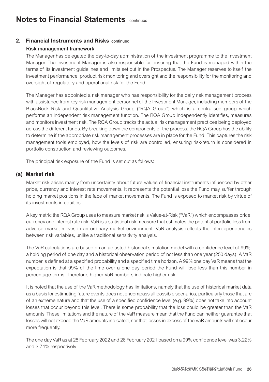### **2. Financial Instruments and Risks** continued

#### Risk management framework

The Manager has delegated the day-to-day administration of the investment programme to the Investment Manager. The Investment Manager is also responsible for ensuring that the Fund is managed within the terms of its investment guidelines and limits set out in the Prospectus. The Manager reserves to itself the investment performance, product risk monitoring and oversight and the responsibility for the monitoring and oversight of regulatory and operational risk for the Fund.

The Manager has appointed a risk manager who has responsibility for the daily risk management process with assistance from key risk management personnel of the Investment Manager, including members of the BlackRock Risk and Quantitative Analysis Group ("RQA Group") which is a centralised group which performs an independent risk management function. The RQA Group independently identifies, measures and monitors investment risk. The RQA Group tracks the actual risk management practices being deployed across the different funds. By breaking down the components of the process, the RQA Group has the ability to determine if the appropriate risk management processes are in place for the Fund. This captures the risk management tools employed, how the levels of risk are controlled, ensuring risk/return is considered in portfolio construction and reviewing outcomes.

The principal risk exposure of the Fund is set out as follows:

### **(a) Market risk**

Market risk arises mainly from uncertainty about future values of financial instruments influenced by other price, currency and interest rate movements. It represents the potential loss the Fund may suffer through holding market positions in the face of market movements. The Fund is exposed to market risk by virtue of its investments in equities.

A key metric the RQA Group uses to measure market risk is Value-at-Risk ("VaR") which encompasses price, currency and interest rate risk. VaR is a statistical risk measure that estimates the potential portfolio loss from adverse market moves in an ordinary market environment. VaR analysis reflects the interdependencies between risk variables, unlike a traditional sensitivity analysis.

The VaR calculations are based on an adjusted historical simulation model with a confidence level of 99%, a holding period of one day and a historical observation period of not less than one year (250 days). A VaR number is defined at a specified probability and a specified time horizon. A 99% one day VaR means that the expectation is that 99% of the time over a one day period the Fund will lose less than this number in percentage terms. Therefore, higher VaR numbers indicate higher risk.

It is noted that the use of the VaR methodology has limitations, namely that the use of historical market data as a basis for estimating future events does not encompass all possible scenarios, particularly those that are of an extreme nature and that the use of a specified confidence level (e.g. 99%) does not take into account losses that occur beyond this level. There is some probability that the loss could be greater than the VaR amounts. These limitations and the nature of the VaR measure mean that the Fund can neither guarantee that losses will not exceed the VaR amounts indicated, nor that losses in excess of the VaR amounts will not occur more frequently.

The one day VaR as at 28 February 2022 and 28 February 2021 based on a 99% confidence level was 3.22% and 3.74% respectively.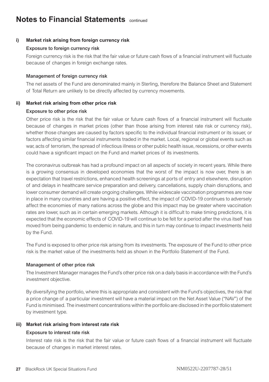#### **i) Market risk arising from foreign currency risk**

#### Exposure to foreign currency risk

Foreign currency risk is the risk that the fair value or future cash flows of a financial instrument will fluctuate because of changes in foreign exchange rates.

#### Management of foreign currency risk

The net assets of the Fund are denominated mainly in Sterling, therefore the Balance Sheet and Statement of Total Return are unlikely to be directly affected by currency movements.

### **ii) Market risk arising from other price risk**

#### Exposure to other price risk

Other price risk is the risk that the fair value or future cash flows of a financial instrument will fluctuate because of changes in market prices (other than those arising from interest rate risk or currency risk), whether those changes are caused by factors specific to the individual financial instrument or its issuer, or factors affecting similar financial instruments traded in the market. Local, regional or global events such as war, acts of terrorism, the spread of infectious illness or other public health issue, recessions, or other events could have a significant impact on the Fund and market prices of its investments.

The coronavirus outbreak has had a profound impact on all aspects of society in recent years. While there is a growing consensus in developed economies that the worst of the impact is now over, there is an expectation that travel restrictions, enhanced health screenings at ports of entry and elsewhere, disruption of and delays in healthcare service preparation and delivery, cancellations, supply chain disruptions, and lower consumer demand will create ongoing challenges. While widescale vaccination programmes are now in place in many countries and are having a positive effect, the impact of COVID-19 continues to adversely affect the economies of many nations across the globe and this impact may be greater where vaccination rates are lower, such as in certain emerging markets. Although it is difficult to make timing predictions, it is expected that the economic effects of COVID-19 will continue to be felt for a period after the virus itself has moved from being pandemic to endemic in nature, and this in turn may continue to impact investments held by the Fund.

The Fund is exposed to other price risk arising from its investments. The exposure of the Fund to other price risk is the market value of the investments held as shown in the Portfolio Statement of the Fund.

#### Management of other price risk

The Investment Manager manages the Fund's other price risk on a daily basis in accordance with the Fund's investment objective.

By diversifying the portfolio, where this is appropriate and consistent with the Fund's objectives, the risk that a price change of a particular investment will have a material impact on the Net Asset Value ("NAV") of the Fund is minimised. The investment concentrations within the portfolio are disclosed in the portfolio statement by investment type.

#### **iii) Market risk arising from interest rate risk**

### Exposure to interest rate risk

Interest rate risk is the risk that the fair value or future cash flows of a financial instrument will fluctuate because of changes in market interest rates.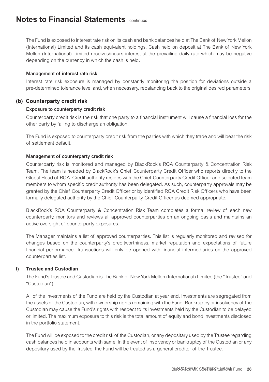The Fund is exposed to interest rate risk on its cash and bank balances held at The Bank of New York Mellon (International) Limited and its cash equivalent holdings. Cash held on deposit at The Bank of New York Mellon (International) Limited receives/incurs interest at the prevailing daily rate which may be negative depending on the currency in which the cash is held.

#### Management of interest rate risk

Interest rate risk exposure is managed by constantly monitoring the position for deviations outside a pre-determined tolerance level and, when necessary, rebalancing back to the original desired parameters.

### **(b) Counterparty credit risk**

#### Exposure to counterparty credit risk

Counterparty credit risk is the risk that one party to a financial instrument will cause a financial loss for the other party by failing to discharge an obligation.

The Fund is exposed to counterparty credit risk from the parties with which they trade and will bear the risk of settlement default.

#### Management of counterparty credit risk

Counterparty risk is monitored and managed by BlackRock's RQA Counterparty & Concentration Risk Team. The team is headed by BlackRock's Chief Counterparty Credit Officer who reports directly to the Global Head of RQA. Credit authority resides with the Chief Counterparty Credit Officer and selected team members to whom specific credit authority has been delegated. As such, counterparty approvals may be granted by the Chief Counterparty Credit Officer or by identified RQA Credit Risk Officers who have been formally delegated authority by the Chief Counterparty Credit Officer as deemed appropriate.

BlackRock's RQA Counterparty & Concentration Risk Team completes a formal review of each new counterparty, monitors and reviews all approved counterparties on an ongoing basis and maintains an active oversight of counterparty exposures.

The Manager maintains a list of approved counterparties. This list is regularly monitored and revised for changes based on the counterparty's creditworthiness, market reputation and expectations of future financial performance. Transactions will only be opened with financial intermediaries on the approved counterparties list.

#### **i) Trustee and Custodian**

The Fund's Trustee and Custodian is The Bank of New York Mellon (International) Limited (the "Trustee" and "Custodian").

All of the investments of the Fund are held by the Custodian at year end. Investments are segregated from the assets of the Custodian, with ownership rights remaining with the Fund. Bankruptcy or insolvency of the Custodian may cause the Fund's rights with respect to its investments held by the Custodian to be delayed or limited. The maximum exposure to this risk is the total amount of equity and bond investments disclosed in the portfolio statement.

The Fund will be exposed to the credit risk of the Custodian, or any depositary used by the Trustee regarding cash balances held in accounts with same. In the event of insolvency or bankruptcy of the Custodian or any depositary used by the Trustee, the Fund will be treated as a general creditor of the Trustee.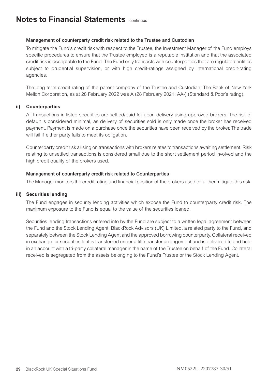#### Management of counterparty credit risk related to the Trustee and Custodian

To mitigate the Fund's credit risk with respect to the Trustee, the Investment Manager of the Fund employs specific procedures to ensure that the Trustee employed is a reputable institution and that the associated credit risk is acceptable to the Fund. The Fund only transacts with counterparties that are regulated entities subject to prudential supervision, or with high credit-ratings assigned by international credit-rating agencies.

The long term credit rating of the parent company of the Trustee and Custodian, The Bank of New York Mellon Corporation, as at 28 February 2022 was A (28 February 2021: AA-) (Standard & Poor's rating).

#### **ii) Counterparties**

All transactions in listed securities are settled/paid for upon delivery using approved brokers. The risk of default is considered minimal, as delivery of securities sold is only made once the broker has received payment. Payment is made on a purchase once the securities have been received by the broker. The trade will fail if either party fails to meet its obligation.

Counterparty credit risk arising on transactions with brokers relates to transactions awaiting settlement. Risk relating to unsettled transactions is considered small due to the short settlement period involved and the high credit quality of the brokers used.

#### Management of counterparty credit risk related to Counterparties

The Manager monitors the credit rating and financial position of the brokers used to further mitigate this risk.

#### **iii) Securities lending**

The Fund engages in security lending activities which expose the Fund to counterparty credit risk. The maximum exposure to the Fund is equal to the value of the securities loaned.

Securities lending transactions entered into by the Fund are subject to a written legal agreement between the Fund and the Stock Lending Agent, BlackRock Advisors (UK) Limited, a related party to the Fund, and separately between the Stock Lending Agent and the approved borrowing counterparty. Collateral received in exchange for securities lent is transferred under a title transfer arrangement and is delivered to and held in an account with a tri-party collateral manager in the name of the Trustee on behalf of the Fund. Collateral received is segregated from the assets belonging to the Fund's Trustee or the Stock Lending Agent.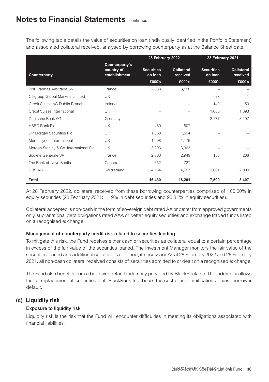The following table details the value of securities on loan (individually identified in the Portfolio Statement) and associated collateral received, analysed by borrowing counterparty as at the Balance Sheet date.

|                                        |                                               | 28 February 2022             |                               | 28 February 2021             |                               |
|----------------------------------------|-----------------------------------------------|------------------------------|-------------------------------|------------------------------|-------------------------------|
| Counterparty                           | Counterparty's<br>country of<br>establishment | <b>Securities</b><br>on loan | <b>Collateral</b><br>received | <b>Securities</b><br>on loan | <b>Collateral</b><br>received |
|                                        |                                               | £000's                       | £000's                        | £000's                       | £000's                        |
| <b>BNP Paribas Arbitrage SNC</b>       | France                                        | 2,833                        | 3,118                         |                              |                               |
| Citigroup Global Markets Limited       | UK                                            | $\overline{\phantom{0}}$     | -                             | 37                           | 41                            |
| Credit Suisse AG Dublin Branch         | Ireland                                       |                              |                               | 149                          | 159                           |
| Credit Suisse International            | UK                                            |                              |                               | 1,685                        | 1,893                         |
| Deutsche Bank AG                       | Germany                                       |                              |                               | 2,777                        | 3,107                         |
| <b>HSBC Bank Plc</b>                   | UK                                            | 460                          | 507                           |                              |                               |
| J.P. Morgan Securities Plc             | UK                                            | 1,350                        | 1,594                         |                              |                               |
| Merrill Lynch International            | UK                                            | 1,098                        | 1,176                         |                              |                               |
| Morgan Stanley & Co. International Plc | <b>UK</b>                                     | 3,203                        | 3,363                         |                              |                               |
| Société Générale SA                    | France                                        | 2,660                        | 2,949                         | 188                          | 208                           |
| The Bank of Nova Scotia                | Canada                                        | 662                          | 727                           |                              |                               |
| <b>UBS AG</b>                          | Switzerland                                   | 4,164                        | 4,767                         | 2,664                        | 2,999                         |
| <b>Total</b>                           |                                               | 16,430                       | 18,201                        | 7,500                        | 8,407                         |

At 28 February 2022, collateral received from these borrowing counterparties comprised of 100.00% in equity securities (28 February 2021: 1.19% in debt securities and 98.81% in equity securities).

Collateral accepted is non-cash in the form of sovereign debt rated AA or better from approved governments only, supranational debt obligations rated AAA or better, equity securities and exchange traded funds listed on a recognised exchange.

#### Management of counterparty credit risk related to securities lending

To mitigate this risk, the Fund receives either cash or securities as collateral equal to a certain percentage in excess of the fair value of the securities loaned. The Investment Manager monitors the fair value of the securities loaned and additional collateral is obtained, if necessary. As at 28 February 2022 and 28 February 2021, all non-cash collateral received consists of securities admitted to or dealt on a recognised exchange.

The Fund also benefits from a borrower default indemnity provided by BlackRock Inc. The indemnity allows for full replacement of securities lent. BlackRock Inc. bears the cost of indemnification against borrower default.

### **(c) Liquidity risk**

### Exposure to liquidity risk

Liquidity risk is the risk that the Fund will encounter difficulties in meeting its obligations associated with financial liabilities.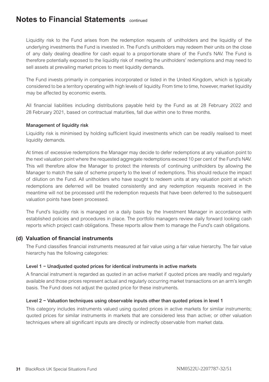Liquidity risk to the Fund arises from the redemption requests of unitholders and the liquidity of the underlying investments the Fund is invested in. The Fund's unitholders may redeem their units on the close of any daily dealing deadline for cash equal to a proportionate share of the Fund's NAV. The Fund is therefore potentially exposed to the liquidity risk of meeting the unitholders' redemptions and may need to sell assets at prevailing market prices to meet liquidity demands.

The Fund invests primarily in companies incorporated or listed in the United Kingdom, which is typically considered to be a territory operating with high levels of liquidity. From time to time, however, market liquidity may be affected by economic events.

All financial liabilities including distributions payable held by the Fund as at 28 February 2022 and 28 February 2021, based on contractual maturities, fall due within one to three months.

#### Management of liquidity risk

Liquidity risk is minimised by holding sufficient liquid investments which can be readily realised to meet liquidity demands.

At times of excessive redemptions the Manager may decide to defer redemptions at any valuation point to the next valuation point where the requested aggregate redemptions exceed 10 per cent of the Fund's NAV. This will therefore allow the Manager to protect the interests of continuing unitholders by allowing the Manager to match the sale of scheme property to the level of redemptions. This should reduce the impact of dilution on the Fund. All unitholders who have sought to redeem units at any valuation point at which redemptions are deferred will be treated consistently and any redemption requests received in the meantime will not be processed until the redemption requests that have been deferred to the subsequent valuation points have been processed.

The Fund's liquidity risk is managed on a daily basis by the Investment Manager in accordance with established policies and procedures in place. The portfolio managers review daily forward looking cash reports which project cash obligations. These reports allow them to manage the Fund's cash obligations.

#### **(d) Valuation of financial instruments**

The Fund classifies financial instruments measured at fair value using a fair value hierarchy. The fair value hierarchy has the following categories:

#### Level 1 − Unadjusted quoted prices for identical instruments in active markets

A financial instrument is regarded as quoted in an active market if quoted prices are readily and regularly available and those prices represent actual and regularly occurring market transactions on an arm's length basis. The Fund does not adjust the quoted price for these instruments.

#### Level 2 − Valuation techniques using observable inputs other than quoted prices in level 1

This category includes instruments valued using quoted prices in active markets for similar instruments; quoted prices for similar instruments in markets that are considered less than active; or other valuation techniques where all significant inputs are directly or indirectly observable from market data.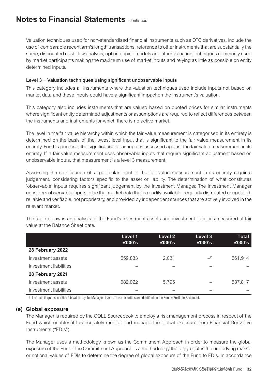Valuation techniques used for non-standardised financial instruments such as OTC derivatives, include the use of comparable recent arm's length transactions, reference to other instruments that are substantially the same, discounted cash flow analysis, option pricing models and other valuation techniques commonly used by market participants making the maximum use of market inputs and relying as little as possible on entity determined inputs.

### Level 3 − Valuation techniques using significant unobservable inputs

This category includes all instruments where the valuation techniques used include inputs not based on market data and these inputs could have a significant impact on the instrument's valuation.

This category also includes instruments that are valued based on quoted prices for similar instruments where significant entity determined adjustments or assumptions are required to reflect differences between the instruments and instruments for which there is no active market.

The level in the fair value hierarchy within which the fair value measurement is categorised in its entirety is determined on the basis of the lowest level input that is significant to the fair value measurement in its entirety. For this purpose, the significance of an input is assessed against the fair value measurement in its entirety. If a fair value measurement uses observable inputs that require significant adjustment based on unobservable inputs, that measurement is a level 3 measurement.

Assessing the significance of a particular input to the fair value measurement in its entirety requires judgement, considering factors specific to the asset or liability. The determination of what constitutes 'observable' inputs requires significant judgement by the Investment Manager. The Investment Manager considers observable inputs to be that market data that is readily available, regularly distributed or updated, reliable and verifiable, not proprietary, and provided by independent sources that are actively involved in the relevant market.

|                        | Level 1<br>£000's | Level 2<br>£000's        | Level 3<br>£000's        | Total<br>£000's |
|------------------------|-------------------|--------------------------|--------------------------|-----------------|
| 28 February 2022       |                   |                          |                          |                 |
| Investment assets      | 559,833           | 2.081                    | $-$ #                    | 561.914         |
| Investment liabilities |                   |                          | $\overline{\phantom{a}}$ |                 |
| 28 February 2021       |                   |                          |                          |                 |
| Investment assets      | 582,022           | 5.795                    | $\overline{\phantom{a}}$ | 587,817         |
| Investment liabilities |                   | $\overline{\phantom{a}}$ | $\overline{\phantom{a}}$ |                 |

The table below is an analysis of the Fund's investment assets and investment liabilities measured at fair value at the Balance Sheet date.

# Includes illiquid securities fair valued by the Manager at zero. These securities are identified on the Fund's Portfolio Statement.

### **(e) Global exposure**

The Manager is required by the COLL Sourcebook to employ a risk management process in respect of the Fund which enables it to accurately monitor and manage the global exposure from Financial Derivative Instruments ("FDIs").

The Manager uses a methodology known as the Commitment Approach in order to measure the global exposure of the Fund. The Commitment Approach is a methodology that aggregates the underlying market or notional values of FDIs to determine the degree of global exposure of the Fund to FDIs. In accordance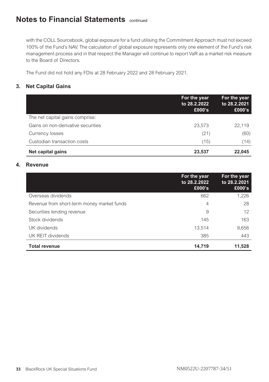with the COLL Sourcebook, global exposure for a fund utilising the Commitment Approach must not exceed 100% of the Fund's NAV. The calculation of global exposure represents only one element of the Fund's risk management process and in that respect the Manager will continue to report VaR as a market risk measure to the Board of Directors.

The Fund did not hold any FDIs at 28 February 2022 and 28 February 2021.

### **3. Net Capital Gains**

|                                    | For the year<br>to 28, 2.2022<br>£000's | For the year<br>to 28.2.2021<br>£000's |
|------------------------------------|-----------------------------------------|----------------------------------------|
| The net capital gains comprise:    |                                         |                                        |
| Gains on non-derivative securities | 23,573                                  | 22.119                                 |
| Currency losses                    | (21)                                    | (60)                                   |
| Custodian transaction costs        | (15)                                    | (14)                                   |
| Net capital gains                  | 23,537                                  | 22.045                                 |

### **4. Revenue**

|                                            | For the year<br>to 28, 2.2022<br>£000's | For the year<br>to 28.2.2021<br>£000's |
|--------------------------------------------|-----------------------------------------|----------------------------------------|
| Overseas dividends                         | 662                                     | 1,226                                  |
| Revenue from short-term money market funds | 4                                       | 28                                     |
| Securities lending revenue                 | 9                                       | 12                                     |
| Stock dividends                            | 145                                     | 163                                    |
| UK dividends                               | 13,514                                  | 9,656                                  |
| UK REIT dividends                          | 385                                     | 443                                    |
| <b>Total revenue</b>                       | 14,719                                  | 11,528                                 |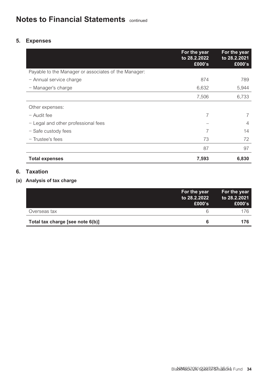### **5. Expenses**

|                                                      | For the year<br>to 28.2.2022<br>£000's | For the year<br>to 28.2.2021<br>£000's |
|------------------------------------------------------|----------------------------------------|----------------------------------------|
| Payable to the Manager or associates of the Manager: |                                        |                                        |
| - Annual service charge                              | 874                                    | 789                                    |
| - Manager's charge                                   | 6,632                                  | 5,944                                  |
|                                                      | 7,506                                  | 6,733                                  |
| Other expenses:                                      |                                        |                                        |
| $-$ Audit fee                                        | 7                                      | 7                                      |
| - Legal and other professional fees                  |                                        | 4                                      |
| - Safe custody fees                                  | 7                                      | 14                                     |
| $-$ Trustee's fees                                   | 73                                     | 72                                     |
|                                                      | 87                                     | 97                                     |
| <b>Total expenses</b>                                | 7,593                                  | 6,830                                  |

### **6. Taxation**

### **(a) Analysis of tax charge**

|                                  | For the year<br>to 28.2.2022<br>£000's | For the year<br>to 28.2.2021<br>£000's |
|----------------------------------|----------------------------------------|----------------------------------------|
| Overseas tax                     | 6                                      | 176                                    |
| Total tax charge [see note 6(b)] | 6                                      | 176                                    |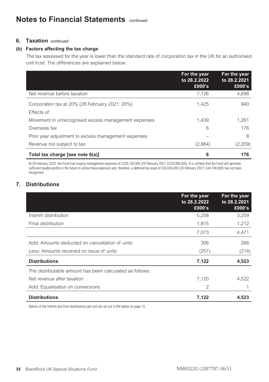### **6.** Taxation continued

#### **(b) Factors affecting the tax charge**

The tax assessed for the year is lower than the standard rate of corporation tax in the UK for an authorised unit trust. The differences are explained below:

|                                                               | For the year<br>to 28, 2.2022<br>£000's | For the year<br>to 28.2.2021<br>£000's |
|---------------------------------------------------------------|-----------------------------------------|----------------------------------------|
| Net revenue before taxation                                   | 7,126                                   | 4,698                                  |
| Corporation tax at 20% (28 February 2021: 20%)<br>Effects of: | 1.425                                   | 940                                    |
| Movement in unrecognised excess management expenses           | 1.439                                   | 1.261                                  |
| Overseas tax                                                  | 6                                       | 176                                    |
| Prior year adjustment to excess management expenses           |                                         | 8                                      |
| Revenue not subject to tax                                    | (2,864)                                 | (2,209)                                |
| Total tax charge [see note 6(a)]                              | 6                                       | 176                                    |

At 28 February 2022, the Fund had surplus management expenses of £228,192,000 (28 February 2021: £220,996,000). It is unlikely that the Fund will generate sufficient taxable profits in the future to utilise these expenses and, therefore, a deferred tax asset of £45,638,000 (28 February 2021: £44,199,000) has not been recognised.

### **7. Distributions**

|                                                          | For the year<br>to 28.2.2022<br>£000's | For the year<br>to 28.2.2021<br>£000's |
|----------------------------------------------------------|----------------------------------------|----------------------------------------|
| Interim distribution                                     | 5,258                                  | 3,259                                  |
| Final distribution                                       | 1,815                                  | 1,212                                  |
|                                                          | 7,073                                  | 4,471                                  |
| Add: Amounts deducted on cancellation of units           | 306                                    | 266                                    |
| Less: Amounts received on issue of units                 | (257)                                  | (214)                                  |
| <b>Distributions</b>                                     | 7,122                                  | 4,523                                  |
| The distributable amount has been calculated as follows: |                                        |                                        |
| Net revenue after taxation                               | 7,120                                  | 4,522                                  |
| Add: Equalisation on conversions                         | $\overline{2}$                         |                                        |
| <b>Distributions</b>                                     | 7,122                                  | 4,523                                  |

Details of the interim and final distributions per unit are set out in the tables on page 13.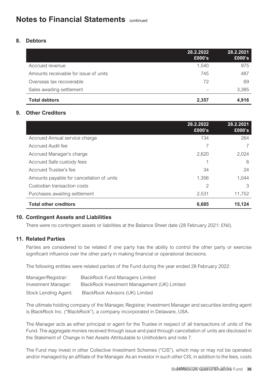### **8. Debtors**

|                                       | 28.2.2022<br>£000's      | 28.2.2021<br>£000's |
|---------------------------------------|--------------------------|---------------------|
| Accrued revenue                       | 1.540                    | 975                 |
| Amounts receivable for issue of units | 745                      | 487                 |
| Overseas tax recoverable              | 72                       | 69                  |
| Sales awaiting settlement             | $\overline{\phantom{a}}$ | 3,385               |
| <b>Total debtors</b>                  | 2,357                    | 4.916               |

### **9. Other Creditors**

|                                           | 28.2.2022<br>£000's | 28.2.2021<br>£000's |
|-------------------------------------------|---------------------|---------------------|
| Accrued Annual service charge             | 134                 | 264                 |
| Accrued Audit fee                         |                     |                     |
| Accrued Manager's charge                  | 2,620               | 2,024               |
| Accrued Safe custody fees                 |                     | 6                   |
| Accrued Trustee's fee                     | 34                  | 24                  |
| Amounts payable for cancellation of units | 1.356               | 1.044               |
| Custodian transaction costs               | $\overline{c}$      | 3                   |
| Purchases awaiting settlement             | 2,531               | 11.752              |
| <b>Total other creditors</b>              | 6.685               | 15.124              |

### **10. Contingent Assets and Liabilities**

There were no contingent assets or liabilities at the Balance Sheet date (28 February 2021: £Nil).

### **11. Related Parties**

Parties are considered to be related if one party has the ability to control the other party or exercise significant influence over the other party in making financial or operational decisions.

The following entities were related parties of the Fund during the year ended 28 February 2022:

| Manager/Registrar:   | <b>BlackRock Fund Managers Limited</b>       |
|----------------------|----------------------------------------------|
| Investment Manager:  | BlackRock Investment Management (UK) Limited |
| Stock Lending Agent: | BlackRock Advisors (UK) Limited              |

The ultimate holding company of the Manager, Registrar, Investment Manager and securities lending agent is BlackRock Inc. ("BlackRock"), a company incorporated in Delaware, USA.

The Manager acts as either principal or agent for the Trustee in respect of all transactions of units of the Fund. The aggregate monies received through issue and paid through cancellation of units are disclosed in the Statement of Change in Net Assets Attributable to Unitholders and note 7.

The Fund may invest in other Collective Investment Schemes ("CIS"), which may or may not be operated and/or managed by an affiliate of the Manager. As an investor in such other CIS, in addition to the fees, costs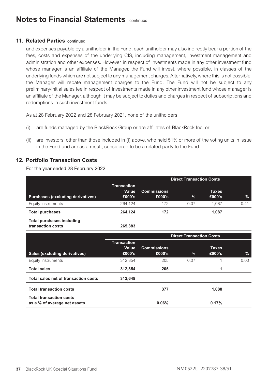### **11. Related Parties** continued

and expenses payable by a unitholder in the Fund, each unitholder may also indirectly bear a portion of the fees, costs and expenses of the underlying CIS, including management, investment management and administration and other expenses. However, in respect of investments made in any other investment fund whose manager is an affiliate of the Manager, the Fund will invest, where possible, in classes of the underlying funds which are not subject to any management charges. Alternatively, where this is not possible, the Manager will rebate management charges to the Fund. The Fund will not be subject to any preliminary/initial sales fee in respect of investments made in any other investment fund whose manager is an affiliate of the Manager, although it may be subject to duties and charges in respect of subscriptions and redemptions in such investment funds.

As at 28 February 2022 and 28 February 2021, none of the unitholders:

- (i) are funds managed by the BlackRock Group or are affiliates of BlackRock Inc. or
- (ii) are investors, other than those included in (i) above, who held 51% or more of the voting units in issue in the Fund and are as a result, considered to be a related party to the Fund.

### **12. Portfolio Transaction Costs**

For the year ended 28 February 2022

|                                                       | <b>Direct Transaction Costs</b>       |                              |               |                        |      |
|-------------------------------------------------------|---------------------------------------|------------------------------|---------------|------------------------|------|
| Purchases (excluding derivatives)                     | <b>Transaction</b><br>Value<br>£000's | <b>Commissions</b><br>£000's | $\frac{1}{2}$ | <b>Taxes</b><br>£000's | %    |
| Equity instruments                                    | 264.124                               | 172                          | 0.07          | 1.087                  | 0.41 |
| <b>Total purchases</b>                                | 264.124                               | 172                          |               | 1.087                  |      |
| <b>Total purchases including</b><br>transaction costs | 265.383                               |                              |               |                        |      |

|                                                                | <b>Direct Transaction Costs</b>       |                              |      |                        |      |
|----------------------------------------------------------------|---------------------------------------|------------------------------|------|------------------------|------|
| Sales (excluding derivatives)                                  | <b>Transaction</b><br>Value<br>£000's | <b>Commissions</b><br>£000's | $\%$ | <b>Taxes</b><br>£000's | %    |
| Equity instruments                                             | 312.854                               | 205                          | 0.07 |                        | 0.00 |
| <b>Total sales</b>                                             | 312.854                               | 205                          |      | 1                      |      |
| Total sales net of transaction costs                           | 312.648                               |                              |      |                        |      |
| <b>Total transaction costs</b>                                 |                                       | 377                          |      | 1.088                  |      |
| <b>Total transaction costs</b><br>as a % of average net assets |                                       | 0.06%                        |      | 0.17%                  |      |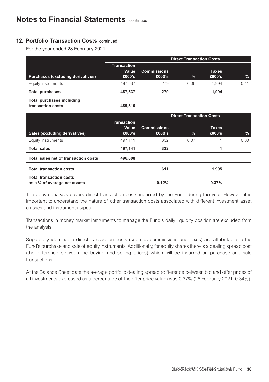### **12. Portfolio Transaction Costs** continued

For the year ended 28 February 2021

|                                                       |                                       |                              | <b>Direct Transaction Costs</b> |                        |               |
|-------------------------------------------------------|---------------------------------------|------------------------------|---------------------------------|------------------------|---------------|
| Purchases (excluding derivatives)                     | <b>Transaction</b><br>Value<br>£000's | <b>Commissions</b><br>£000's | $\%$                            | <b>Taxes</b><br>£000's | $\frac{9}{6}$ |
| Equity instruments                                    | 487.537                               | 279                          | 0.06                            | 1.994                  | 0.41          |
| <b>Total purchases</b>                                | 487,537                               | 279                          |                                 | 1,994                  |               |
| <b>Total purchases including</b><br>transaction costs | 489,810                               |                              |                                 |                        |               |
|                                                       |                                       |                              | <b>Direct Transaction Costs</b> |                        |               |
| Sales (excluding derivatives)                         | <b>Transaction</b><br>Value<br>£000's | <b>Commissions</b><br>£000's | $\%$                            | <b>Taxes</b><br>£000's | %             |
| Equity instruments                                    | 497,141                               | 332                          | 0.07                            | 1                      | 0.00          |
| <b>Total sales</b>                                    | 497,141                               | 332                          |                                 | 1                      |               |
| _<br>$\sim$                                           |                                       |                              |                                 |                        |               |

| Total sales net of transaction costs                           | 496.808 |       |  |
|----------------------------------------------------------------|---------|-------|--|
| <b>Total transaction costs</b>                                 | 611     | 1.995 |  |
| <b>Total transaction costs</b><br>as a % of average net assets | 0.12%   | 0.37% |  |

The above analysis covers direct transaction costs incurred by the Fund during the year. However it is important to understand the nature of other transaction costs associated with different investment asset classes and instruments types.

Transactions in money market instruments to manage the Fund's daily liquidity position are excluded from the analysis.

Separately identifiable direct transaction costs (such as commissions and taxes) are attributable to the Fund's purchase and sale of equity instruments. Additionally, for equity shares there is a dealing spread cost (the difference between the buying and selling prices) which will be incurred on purchase and sale transactions.

At the Balance Sheet date the average portfolio dealing spread (difference between bid and offer prices of all investments expressed as a percentage of the offer price value) was 0.37% (28 February 2021: 0.34%).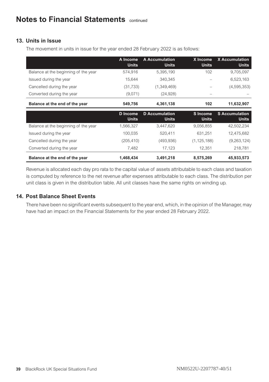### **13. Units in Issue**

The movement in units in issue for the year ended 28 February 2022 is as follows:

|                                      | A Income<br><b>Units</b> | A Accumulation<br><b>Units</b>        | X Income<br><b>Units</b> | <b>X</b> Accumulation<br>Units        |
|--------------------------------------|--------------------------|---------------------------------------|--------------------------|---------------------------------------|
| Balance at the beginning of the year | 574,916                  | 5,395,190                             | 102                      | 9,705,097                             |
| Issued during the year               | 15,644                   | 340.345                               |                          | 6,523,163                             |
| Cancelled during the year            | (31, 733)                | (1,349,469)                           |                          | (4,595,353)                           |
| Converted during the year            | (9,071)                  | (24, 928)                             |                          |                                       |
| Balance at the end of the year       | 549.756                  | 4,361,138                             | 102                      | 11,632,907                            |
|                                      |                          |                                       |                          |                                       |
|                                      | D Income<br><b>Units</b> | <b>D</b> Accumulation<br><b>Units</b> | S Income<br><b>Units</b> | <b>S</b> Accumulation<br><b>Units</b> |
| Balance at the beginning of the year | 1,566,327                | 3.447.620                             | 9.056.855                | 42,502,234                            |
| Issued during the year               | 100.035                  | 520.411                               | 631.251                  | 12,475,682                            |
| Cancelled during the year            | (205, 410)               | (493, 936)                            | (1, 125, 188)            | (9,263,124)                           |
| Converted during the year            | 7,482                    | 17,123                                | 12,351                   | 218,781                               |

Revenue is allocated each day pro rata to the capital value of assets attributable to each class and taxation is computed by reference to the net revenue after expenses attributable to each class. The distribution per unit class is given in the distribution table. All unit classes have the same rights on winding up.

### **14. Post Balance Sheet Events**

There have been no significant events subsequent to the year end, which, in the opinion of the Manager, may have had an impact on the Financial Statements for the year ended 28 February 2022.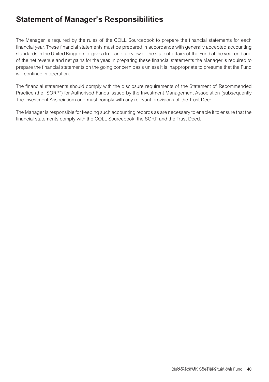### <span id="page-40-0"></span>**Statement of Manager's Responsibilities**

The Manager is required by the rules of the COLL Sourcebook to prepare the financial statements for each financial year. These financial statements must be prepared in accordance with generally accepted accounting standards in the United Kingdom to give a true and fair view of the state of affairs of the Fund at the year end and of the net revenue and net gains for the year. In preparing these financial statements the Manager is required to prepare the financial statements on the going concern basis unless it is inappropriate to presume that the Fund will continue in operation.

The financial statements should comply with the disclosure requirements of the Statement of Recommended Practice (the "SORP") for Authorised Funds issued by the Investment Management Association (subsequently The Investment Association) and must comply with any relevant provisions of the Trust Deed.

The Manager is responsible for keeping such accounting records as are necessary to enable it to ensure that the financial statements comply with the COLL Sourcebook, the SORP and the Trust Deed.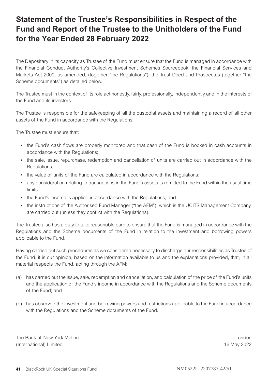### <span id="page-41-0"></span>**Statement of the Trustee's Responsibilities in Respect of the Fund and Report of the Trustee to the Unitholders of the Fund for the Year Ended 28 February 2022**

The Depositary in its capacity as Trustee of the Fund must ensure that the Fund is managed in accordance with the Financial Conduct Authority's Collective Investment Schemes Sourcebook, the Financial Services and Markets Act 2000, as amended, (together "the Regulations"), the Trust Deed and Prospectus (together "the Scheme documents") as detailed below.

The Trustee must in the context of its role act honestly, fairly, professionally, independently and in the interests of the Fund and its investors.

The Trustee is responsible for the safekeeping of all the custodial assets and maintaining a record of all other assets of the Fund in accordance with the Regulations.

The Trustee must ensure that:

- the Fund's cash flows are properly monitored and that cash of the Fund is booked in cash accounts in accordance with the Regulations;
- the sale, issue, repurchase, redemption and cancellation of units are carried out in accordance with the Regulations;
- the value of units of the Fund are calculated in accordance with the Regulations;
- any consideration relating to transactions in the Fund's assets is remitted to the Fund within the usual time limits
- the Fund's income is applied in accordance with the Regulations; and
- the instructions of the Authorised Fund Manager ("the AFM"), which is the UCITS Management Company, are carried out (unless they conflict with the Regulations).

The Trustee also has a duty to take reasonable care to ensure that the Fund is managed in accordance with the Regulations and the Scheme documents of the Fund in relation to the investment and borrowing powers applicable to the Fund.

Having carried out such procedures as we considered necessary to discharge our responsibilities as Trustee of the Fund, it is our opinion, based on the information available to us and the explanations provided, that, in all material respects the Fund, acting through the AFM:

- (a) has carried out the issue, sale, redemption and cancellation, and calculation of the price of the Fund's units and the application of the Fund's income in accordance with the Regulations and the Scheme documents of the Fund; and
- (b) has observed the investment and borrowing powers and restrictions applicable to the Fund in accordance with the Regulations and the Scheme documents of the Fund.

The Bank of New York Mellon London London London London London London London London (International) Limited 16 May 2022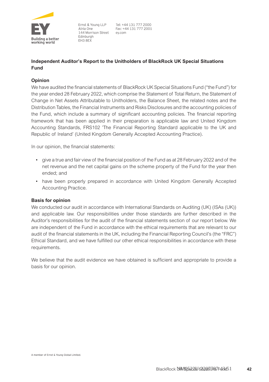<span id="page-42-0"></span>

Ernst & Young LLP Afria One 144 Morrison Street **Edinburgh** FH3 8FX

Tel: +44 131 777 2000 Fax: +44 131 777 2001 ey com

### **Independent Auditor's Report to the Unitholders of BlackRock UK Special Situations Fund**

#### **Opinion**

We have audited the financial statements of BlackRock UK Special Situations Fund ("the Fund") for the year ended 28 February 2022, which comprise the Statement of Total Return, the Statement of Change in Net Assets Attributable to Unitholders, the Balance Sheet, the related notes and the Distribution Tables, the Financial Instruments and Risks Disclosures and the accounting policies of the Fund, which include a summary of significant accounting policies. The financial reporting framework that has been applied in their preparation is applicable law and United Kingdom Accounting Standards, FRS102 'The Financial Reporting Standard applicable to the UK and Republic of Ireland' (United Kingdom Generally Accepted Accounting Practice).

In our opinion, the financial statements:

- give a true and fair view of the financial position of the Fund as at 28 February 2022 and of the net revenue and the net capital gains on the scheme property of the Fund for the year then ended; and
- have been properly prepared in accordance with United Kingdom Generally Accepted Accounting Practice.

#### **Basis for opinion**

We conducted our audit in accordance with International Standards on Auditing (UK) (ISAs (UK)) and applicable law. Our responsibilities under those standards are further described in the Auditor's responsibilities for the audit of the financial statements section of our report below. We are independent of the Fund in accordance with the ethical requirements that are relevant to our audit of the financial statements in the UK, including the Financial Reporting Council's (the "FRC") Ethical Standard, and we have fulfilled our other ethical responsibilities in accordance with these requirements.

We believe that the audit evidence we have obtained is sufficient and appropriate to provide a basis for our opinion.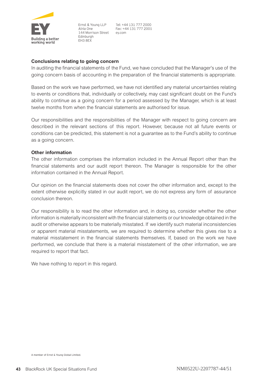

Ernst & Young LLP Afria One 144 Morrison Street ev.com **Edinburgh** FH3 8FX

Tel: +44 131 777 2000 Fax: +44 131 777 2001

#### **Conclusions relating to going concern**

In auditing the financial statements of the Fund, we have concluded that the Manager's use of the going concern basis of accounting in the preparation of the financial statements is appropriate.

Based on the work we have performed, we have not identified any material uncertainties relating to events or conditions that, individually or collectively, may cast significant doubt on the Fund's ability to continue as a going concern for a period assessed by the Manager, which is at least twelve months from when the financial statements are authorised for issue.

Our responsibilities and the responsibilities of the Manager with respect to going concern are described in the relevant sections of this report. However, because not all future events or conditions can be predicted, this statement is not a guarantee as to the Fund's ability to continue as a going concern.

#### **Other information**

The other information comprises the information included in the Annual Report other than the financial statements and our audit report thereon. The Manager is responsible for the other information contained in the Annual Report.

Our opinion on the financial statements does not cover the other information and, except to the extent otherwise explicitly stated in our audit report, we do not express any form of assurance conclusion thereon.

Our responsibility is to read the other information and, in doing so, consider whether the other information is materially inconsistent with the financial statements or our knowledge obtained in the audit or otherwise appears to be materially misstated. If we identify such material inconsistencies or apparent material misstatements, we are required to determine whether this gives rise to a material misstatement in the financial statements themselves. If, based on the work we have performed, we conclude that there is a material misstatement of the other information, we are required to report that fact.

We have nothing to report in this regard.

A member of Ernst & Young Global Limited.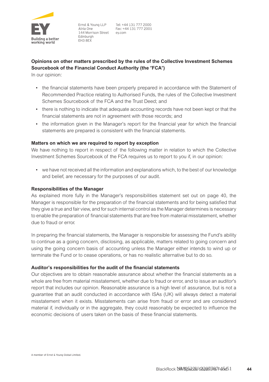

Ernst & Young LLP Afria One 144 Morrison Street **Edinburgh** FH3 8FX

### **Opinions on other matters prescribed by the rules of the Collective Investment Schemes Sourcebook of the Financial Conduct Authority (the FCA)**

In our opinion:

- the financial statements have been properly prepared in accordance with the Statement of Recommended Practice relating to Authorised Funds, the rules of the Collective Investment Schemes Sourcebook of the FCA and the Trust Deed; and
- there is nothing to indicate that adequate accounting records have not been kept or that the financial statements are not in agreement with those records; and
- the information given in the Manager's report for the financial year for which the financial statements are prepared is consistent with the financial statements.

#### **Matters on which we are required to report by exception**

We have nothing to report in respect of the following matter in relation to which the Collective Investment Schemes Sourcebook of the FCA requires us to report to you if, in our opinion:

• we have not received all the information and explanations which, to the best of our knowledge and belief, are necessary for the purposes of our audit.

#### **Responsibilities of the Manager**

As explained more fully in the Manager's responsibilities statement set out on page 40, the Manager is responsible for the preparation of the financial statements and for being satisfied that they give a true and fair view, and for such internal control as the Manager determines is necessary to enable the preparation of financial statements that are free from material misstatement, whether due to fraud or error.

In preparing the financial statements, the Manager is responsible for assessing the Fund's ability to continue as a going concern, disclosing, as applicable, matters related to going concern and using the going concern basis of accounting unless the Manager either intends to wind up or terminate the Fund or to cease operations, or has no realistic alternative but to do so.

#### **Auditor's responsibilities for the audit of the financial statements**

Our objectives are to obtain reasonable assurance about whether the financial statements as a whole are free from material misstatement, whether due to fraud or error, and to issue an auditor's report that includes our opinion. Reasonable assurance is a high level of assurance, but is not a guarantee that an audit conducted in accordance with ISAs (UK) will always detect a material misstatement when it exists. Misstatements can arise from fraud or error and are considered material if, individually or in the aggregate, they could reasonably be expected to influence the economic decisions of users taken on the basis of these financial statements.

A member of Ernst & Young Global Limited.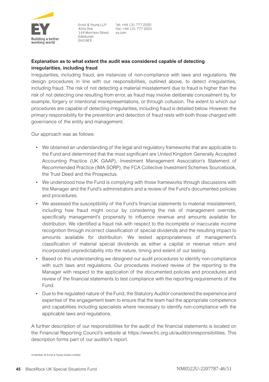

Ernst & Young LLP Afria One 144 Morrison Street **Edinburgh** FH3 RFX

Tel: +44 131 777 2000 Fax: +44 131 777 2001 ey com

### **Explanation as to what extent the audit was considered capable of detecting irregularities, including fraud**

Irregularities, including fraud, are instances of non-compliance with laws and regulations. We design procedures in line with our responsibilities, outlined above, to detect irregularities, including fraud. The risk of not detecting a material misstatement due to fraud is higher than the risk of not detecting one resulting from error, as fraud may involve deliberate concealment by, for example, forgery or intentional misrepresentations, or through collusion. The extent to which our procedures are capable of detecting irregularities, including fraud is detailed below. However, the primary responsibility for the prevention and detection of fraud rests with both those charged with governance of the entity and management.

Our approach was as follows:

- We obtained an understanding of the legal and regulatory frameworks that are applicable to the Fund and determined that the most significant are United Kingdom Generally Accepted Accounting Practice (UK GAAP), Investment Management Association's Statement of Recommended Practice (IMA SORP), the FCA Collective Investment Schemes Sourcebook, the Trust Deed and the Prospectus.
- We understood how the Fund is complying with those frameworks through discussions with the Manager and the Fund's administrators and a review of the Fund's documented policies and procedures.
- We assessed the susceptibility of the Fund's financial statements to material misstatement, including how fraud might occur by considering the risk of management override, specifically management's propensity to influence revenue and amounts available for distribution. We identified a fraud risk with respect to the incomplete or inaccurate income recognition through incorrect classification of special dividends and the resulting impact to amounts available for distribution. We tested appropriateness of management's classification of material special dividends as either a capital or revenue return and incorporated unpredictability into the nature, timing and extent of our testing.
- Based on this understanding we designed our audit procedures to identify non-compliance with such laws and regulations. Our procedures involved review of the reporting to the Manager with respect to the application of the documented policies and procedures and review of the financial statements to test compliance with the reporting requirements of the Fund.
- Due to the regulated nature of the Fund, the Statutory Auditor considered the experience and expertise of the engagement team to ensure that the team had the appropriate competence and capabilities including specialists where necessary to identify non-compliance with the applicable laws and regulations.

A further description of our responsibilities for the audit of the financial statements is located on the Financial Reporting Council's website at https://www.frc.org.uk/auditorsresponsibilities. This description forms part of our auditor's report.

A member of Ernst & Young Global Limited.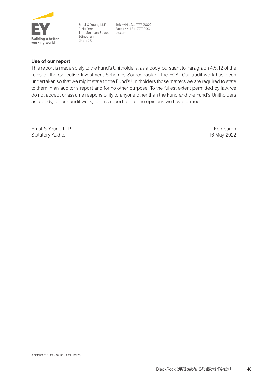

Ernst & Young LLP Atria One 144 Morrison Street Edinburgh FH3 8EX

Tel: +44 131 777 2000 Fax: +44 131 777 2001 ev.com

#### **Use of our report**

This report is made solely to the Fund's Unitholders, as a body, pursuant to Paragraph 4.5.12 of the rules of the Collective Investment Schemes Sourcebook of the FCA. Our audit work has been undertaken so that we might state to the Fund's Unitholders those matters we are required to state to them in an auditor's report and for no other purpose. To the fullest extent permitted by law, we do not accept or assume responsibility to anyone other than the Fund and the Fund's Unitholders as a body, for our audit work, for this report, or for the opinions we have formed.

Ernst & Young LLP Statutory Auditor

**Edinburgh** 16 May 2022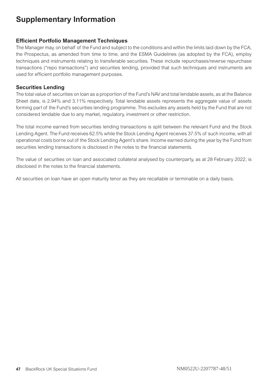### <span id="page-47-0"></span>**Supplementary Information**

### **Efficient Portfolio Management Techniques**

The Manager may, on behalf of the Fund and subject to the conditions and within the limits laid down by the FCA, the Prospectus, as amended from time to time, and the ESMA Guidelines (as adopted by the FCA), employ techniques and instruments relating to transferable securities. These include repurchases/reverse repurchase transactions ("repo transactions") and securities lending, provided that such techniques and instruments are used for efficient portfolio management purposes.

### **Securities Lending**

The total value of securities on loan as a proportion of the Fund's NAV and total lendable assets, as at the Balance Sheet date, is 2.94% and 3.11% respectively. Total lendable assets represents the aggregate value of assets forming part of the Fund's securities lending programme. This excludes any assets held by the Fund that are not considered lendable due to any market, regulatory, investment or other restriction.

The total income earned from securities lending transactions is split between the relevant Fund and the Stock Lending Agent. The Fund receives 62.5% while the Stock Lending Agent receives 37.5% of such income, with all operational costs borne out of the Stock Lending Agent's share. Income earned during the year by the Fund from securities lending transactions is disclosed in the notes to the financial statements.

The value of securities on loan and associated collateral analysed by counterparty, as at 28 February 2022, is disclosed in the notes to the financial statements.

All securities on loan have an open maturity tenor as they are recallable or terminable on a daily basis.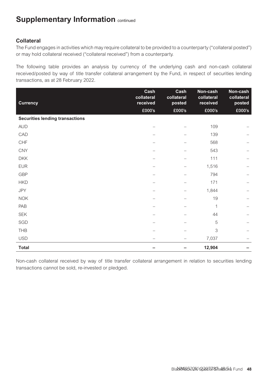### **Supplementary Information** continued

### **Collateral**

The Fund engages in activities which may require collateral to be provided to a counterparty ("collateral posted") or may hold collateral received ("collateral received") from a counterparty.

The following table provides an analysis by currency of the underlying cash and non-cash collateral received/posted by way of title transfer collateral arrangement by the Fund, in respect of securities lending transactions, as at 28 February 2022.

| <b>Currency</b>                        | Cash<br>collateral<br>received | Cash<br>collateral<br>posted | Non-cash<br>collateral<br>received | Non-cash<br>collateral<br>posted |
|----------------------------------------|--------------------------------|------------------------------|------------------------------------|----------------------------------|
|                                        | £000's                         | £000's                       | £000's                             | £000's                           |
| <b>Securities lending transactions</b> |                                |                              |                                    |                                  |
| <b>AUD</b>                             |                                |                              | 109                                |                                  |
| CAD                                    |                                |                              | 139                                |                                  |
| CHF                                    |                                |                              | 568                                |                                  |
| <b>CNY</b>                             |                                |                              | 543                                |                                  |
| <b>DKK</b>                             |                                |                              | 111                                |                                  |
| <b>EUR</b>                             |                                |                              | 1,516                              |                                  |
| GBP                                    |                                |                              | 794                                |                                  |
| <b>HKD</b>                             |                                |                              | 171                                |                                  |
| <b>JPY</b>                             |                                |                              | 1,844                              |                                  |
| <b>NOK</b>                             |                                |                              | 19                                 |                                  |
| PAB                                    |                                |                              | 1                                  |                                  |
| <b>SEK</b>                             |                                |                              | 44                                 |                                  |
| SGD                                    |                                |                              | 5                                  |                                  |
| THB                                    |                                |                              | 3                                  |                                  |
| <b>USD</b>                             |                                |                              | 7,037                              |                                  |
| Total                                  |                                |                              | 12,904                             |                                  |

Non-cash collateral received by way of title transfer collateral arrangement in relation to securities lending transactions cannot be sold, re-invested or pledged.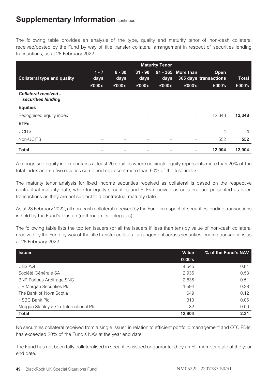### **Supplementary Information** continued

The following table provides an analysis of the type, quality and maturity tenor of non-cash collateral received/posted by the Fund by way of title transfer collateral arrangement in respect of securities lending transactions, as at 28 February 2022.

|                                             | <b>Maturity Tenor</b> |                  |                   |        |                    |                               |              |
|---------------------------------------------|-----------------------|------------------|-------------------|--------|--------------------|-------------------------------|--------------|
| Collateral type and quality                 | $1 - 7$<br>days       | $8 - 30$<br>days | $31 - 90$<br>days | days   | 91 - 365 More than | Open<br>365 days transactions | <b>Total</b> |
|                                             | £000's                | £000's           | £000's            | £000's | £000's             | £000's                        | £000's       |
| Collateral received -<br>securities lending |                       |                  |                   |        |                    |                               |              |
| <b>Equities</b>                             |                       |                  |                   |        |                    |                               |              |
| Recognised equity index                     |                       |                  |                   |        |                    | 12.348                        | 12,348       |
| <b>ETFs</b>                                 |                       |                  |                   |        |                    |                               |              |
| <b>UCITS</b>                                |                       |                  |                   |        |                    | $\overline{4}$                | 4            |
| Non-UCITS                                   |                       |                  |                   |        |                    | 552                           | 552          |
| <b>Total</b>                                |                       |                  |                   |        |                    | 12.904                        | 12.904       |

A recognised equity index contains at least 20 equities where no single equity represents more than 20% of the total index and no five equities combined represent more than 60% of the total index.

The maturity tenor analysis for fixed income securities received as collateral is based on the respective contractual maturity date, while for equity securities and ETFs received as collateral are presented as open transactions as they are not subject to a contractual maturity date.

As at 28 February 2022, all non-cash collateral received by the Fund in respect of securities lending transactions is held by the Fund's Trustee (or through its delegates).

The following table lists the top ten issuers (or all the issuers if less than ten) by value of non-cash collateral received by the Fund by way of the title transfer collateral arrangement across securities lending transactions as at 28 February 2022.

| <b>Issuer</b>                          | Value  | % of the Fund's NAV |
|----------------------------------------|--------|---------------------|
|                                        | £000's |                     |
| <b>UBS AG</b>                          | 4.545  | 0.81                |
| Société Générale SA                    | 2.936  | 0.53                |
| <b>BNP Paribas Arbitrage SNC</b>       | 2,835  | 0.51                |
| J.P. Morgan Securities Plc             | 1.594  | 0.28                |
| The Bank of Nova Scotia                | 649    | 0.12                |
| <b>HSBC Bank Plc</b>                   | 313    | 0.06                |
| Morgan Stanley & Co. International Plc | 32     | 0.00                |
| Total                                  | 12.904 | 2.31                |

No securities collateral received from a single issuer, in relation to efficient portfolio management and OTC FDIs, has exceeded 20% of the Fund's NAV at the year end date.

The Fund has not been fully collateralised in securities issued or guaranteed by an EU member state at the year end date.